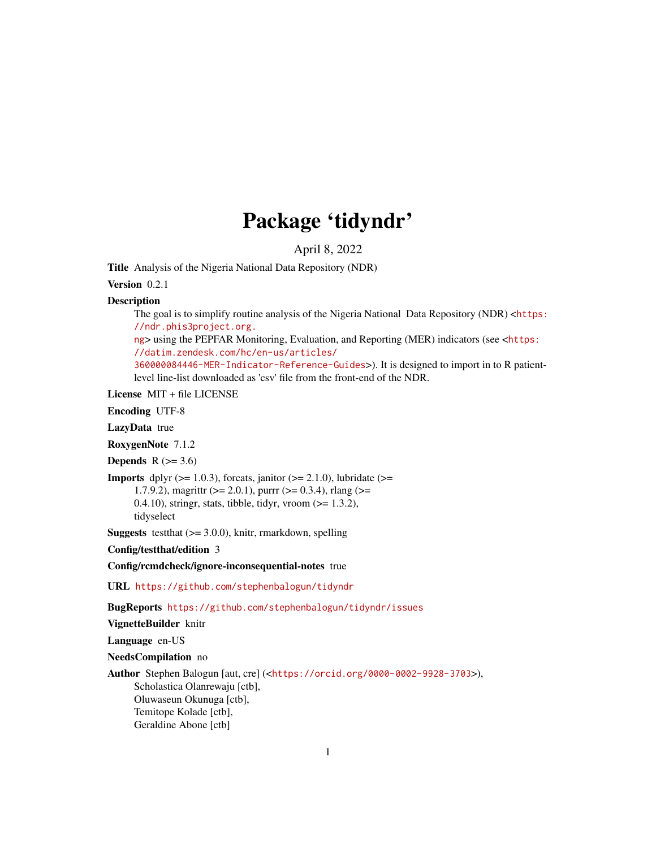# Package 'tidyndr'

April 8, 2022

Title Analysis of the Nigeria National Data Repository (NDR)

Version 0.2.1

**Description** 

The goal is to simplify routine analysis of the Nigeria National Data Repository (NDR) <[https:](https://ndr.phis3project.org.ng) [//ndr.phis3project.org.](https://ndr.phis3project.org.ng)

[ng](https://ndr.phis3project.org.ng)> using the PEPFAR Monitoring, Evaluation, and Reporting (MER) indicators (see <[https:](https://datim.zendesk.com/hc/en-us/articles/360000084446-MER-Indicator-Reference-Guides) [//datim.zendesk.com/hc/en-us/articles/](https://datim.zendesk.com/hc/en-us/articles/360000084446-MER-Indicator-Reference-Guides)

[360000084446-MER-Indicator-Reference-Guides](https://datim.zendesk.com/hc/en-us/articles/360000084446-MER-Indicator-Reference-Guides)>). It is designed to import in to R patientlevel line-list downloaded as 'csv' file from the front-end of the NDR.

License MIT + file LICENSE

Encoding UTF-8

LazyData true

RoxygenNote 7.1.2

**Depends**  $R$  ( $>= 3.6$ )

**Imports** dplyr  $(>= 1.0.3)$ , forcats, janitor  $(>= 2.1.0)$ , lubridate  $(>= 1.0.3)$ 1.7.9.2), magrittr ( $>= 2.0.1$ ), purrr ( $>= 0.3.4$ ), rlang ( $>= 1.7.9$ .

0.4.10), stringr, stats, tibble, tidyr, vroom  $(>= 1.3.2)$ , tidyselect

**Suggests** test that  $(>= 3.0.0)$ , knitr, rmarkdown, spelling

Config/testthat/edition 3

Config/rcmdcheck/ignore-inconsequential-notes true

URL <https://github.com/stephenbalogun/tidyndr>

BugReports <https://github.com/stephenbalogun/tidyndr/issues>

VignetteBuilder knitr

Language en-US

NeedsCompilation no

Author Stephen Balogun [aut, cre] (<<https://orcid.org/0000-0002-9928-3703>>), Scholastica Olanrewaju [ctb], Oluwaseun Okunuga [ctb], Temitope Kolade [ctb], Geraldine Abone [ctb]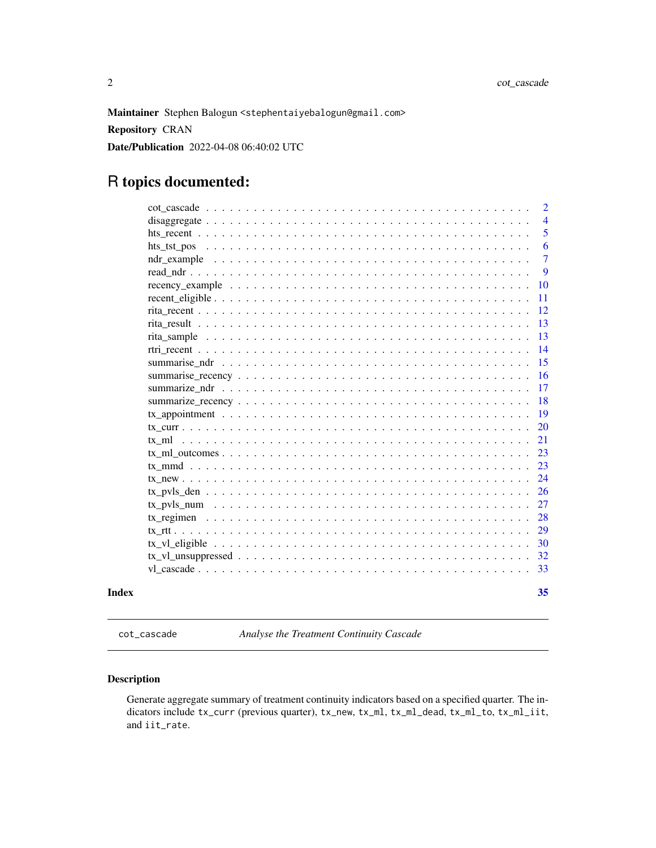<span id="page-1-0"></span>Maintainer Stephen Balogun <stephentaiyebalogun@gmail.com> Repository CRAN Date/Publication 2022-04-08 06:40:02 UTC

# R topics documented:

| Index | 35             |
|-------|----------------|
|       | 33             |
|       | 32             |
|       | 30             |
|       | 29             |
|       | 28             |
|       | 27             |
|       | 26             |
|       | 24             |
|       | 23             |
|       | 23             |
|       | 21             |
|       | <b>20</b>      |
|       | 19             |
|       | 18             |
|       | 17             |
|       | 16             |
|       | 15             |
|       | 14             |
|       | 13             |
|       | 13             |
|       | 12             |
|       | 11             |
|       | 10             |
|       | 9              |
|       | $\tau$         |
|       | 6              |
|       | 5              |
|       | $\overline{4}$ |
|       | $\overline{2}$ |

cot\_cascade *Analyse the Treatment Continuity Cascade*

# Description

Generate aggregate summary of treatment continuity indicators based on a specified quarter. The indicators include tx\_curr (previous quarter), tx\_new, tx\_ml, tx\_ml\_dead, tx\_ml\_to, tx\_ml\_iit, and iit\_rate.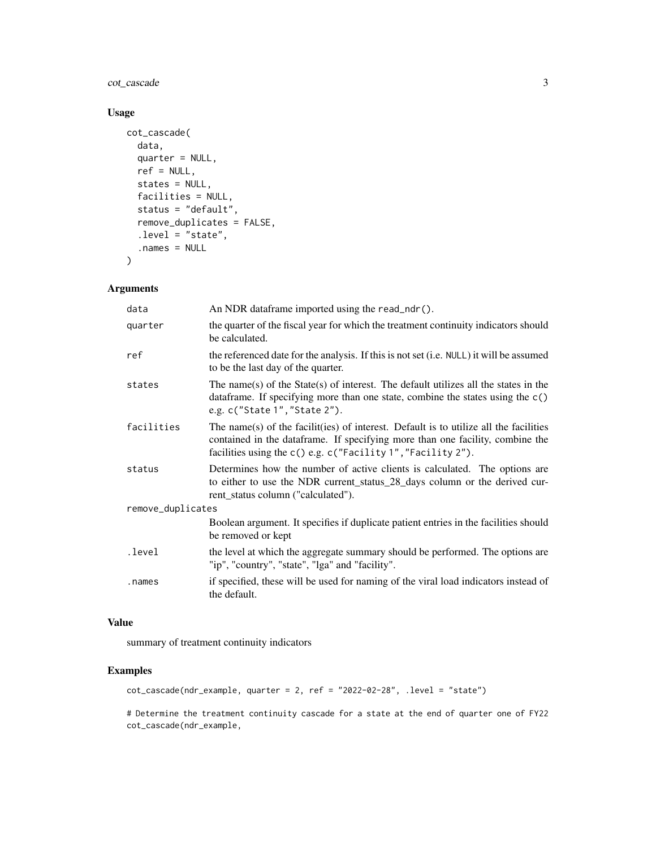cot\_cascade 3

# Usage

```
cot_cascade(
  data,
  quarter = NULL,
  ref = NULL,
  states = NULL,
  facilities = NULL,
  status = "default",
  remove_duplicates = FALSE,
  .level = "state",
  .names = NULL
\mathcal{L}
```
# Arguments

| data              | An NDR dataframe imported using the read_ndr().                                                                                                                                                                                        |
|-------------------|----------------------------------------------------------------------------------------------------------------------------------------------------------------------------------------------------------------------------------------|
| quarter           | the quarter of the fiscal year for which the treatment continuity indicators should<br>be calculated.                                                                                                                                  |
| ref               | the referenced date for the analysis. If this is not set (i.e. NULL) it will be assumed<br>to be the last day of the quarter.                                                                                                          |
| states            | The name(s) of the State(s) of interest. The default utilizes all the states in the<br>data frame. If specifying more than one state, combine the states using the $c()$<br>e.g. c("State 1", "State 2").                              |
| facilities        | The name(s) of the facilit(ies) of interest. Default is to utilize all the facilities<br>contained in the dataframe. If specifying more than one facility, combine the<br>facilities using the c() e.g. c("Facility 1", "Facility 2"). |
| status            | Determines how the number of active clients is calculated. The options are<br>to either to use the NDR current_status_28_days column or the derived cur-<br>rent_status column ("calculated").                                         |
| remove_duplicates |                                                                                                                                                                                                                                        |
|                   | Boolean argument. It specifies if duplicate patient entries in the facilities should<br>be removed or kept                                                                                                                             |
| .level            | the level at which the aggregate summary should be performed. The options are<br>"ip", "country", "state", "lga" and "facility".                                                                                                       |
| .names            | if specified, these will be used for naming of the viral load indicators instead of<br>the default.                                                                                                                                    |

# Value

summary of treatment continuity indicators

# Examples

cot\_cascade(ndr\_example, quarter = 2, ref = "2022-02-28", .level = "state")

# Determine the treatment continuity cascade for a state at the end of quarter one of FY22 cot\_cascade(ndr\_example,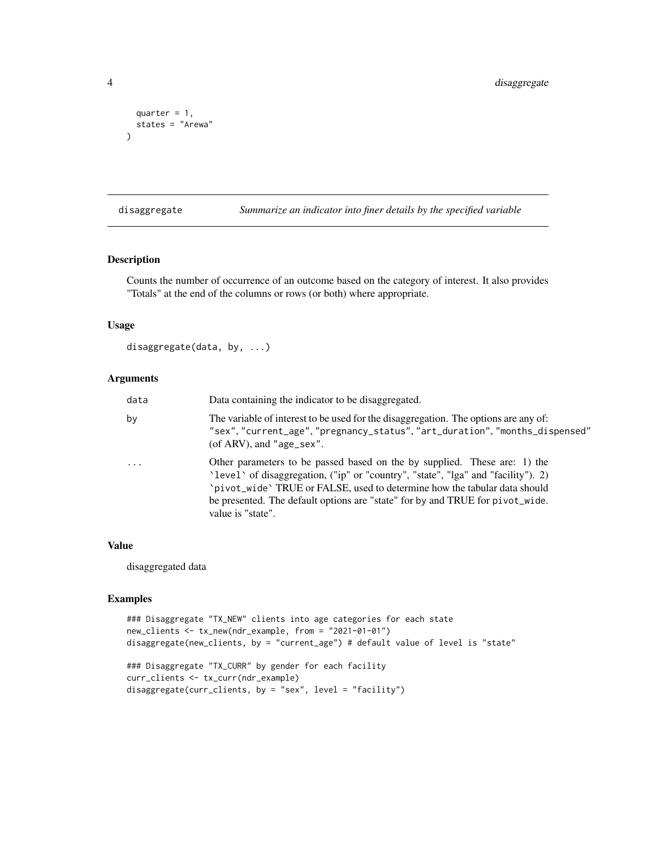```
quarter = 1,
  states = "Arewa"
)
```
disaggregate *Summarize an indicator into finer details by the specified variable*

# Description

Counts the number of occurrence of an outcome based on the category of interest. It also provides "Totals" at the end of the columns or rows (or both) where appropriate.

#### Usage

```
disaggregate(data, by, ...)
```
# Arguments

| data     | Data containing the indicator to be disaggregated.                                                                                                                                                                                                                                                                                                |
|----------|---------------------------------------------------------------------------------------------------------------------------------------------------------------------------------------------------------------------------------------------------------------------------------------------------------------------------------------------------|
| by       | The variable of interest to be used for the disaggregation. The options are any of:<br>"sex", "current_age", "pregnancy_status", "art_duration", "months_dispensed"<br>(of ARV), and "age_sex".                                                                                                                                                   |
| $\cdots$ | Other parameters to be passed based on the by supplied. These are: 1) the<br>'level' of disaggregation, ("ip" or "country", "state", "lga" and "facility"). 2)<br>`pivot_wide` TRUE or FALSE, used to determine how the tabular data should<br>be presented. The default options are "state" for by and TRUE for pivot_wide.<br>value is "state". |

#### Value

disaggregated data

```
### Disaggregate "TX_NEW" clients into age categories for each state
new_clients <- tx_new(ndr_example, from = "2021-01-01")
disaggregate(new_clients, by = "current_age") # default value of level is "state"
### Disaggregate "TX_CURR" by gender for each facility
```

```
curr_clients <- tx_curr(ndr_example)
disaggregate(curr_clients, by = "sex", level = "facility")
```
<span id="page-3-0"></span>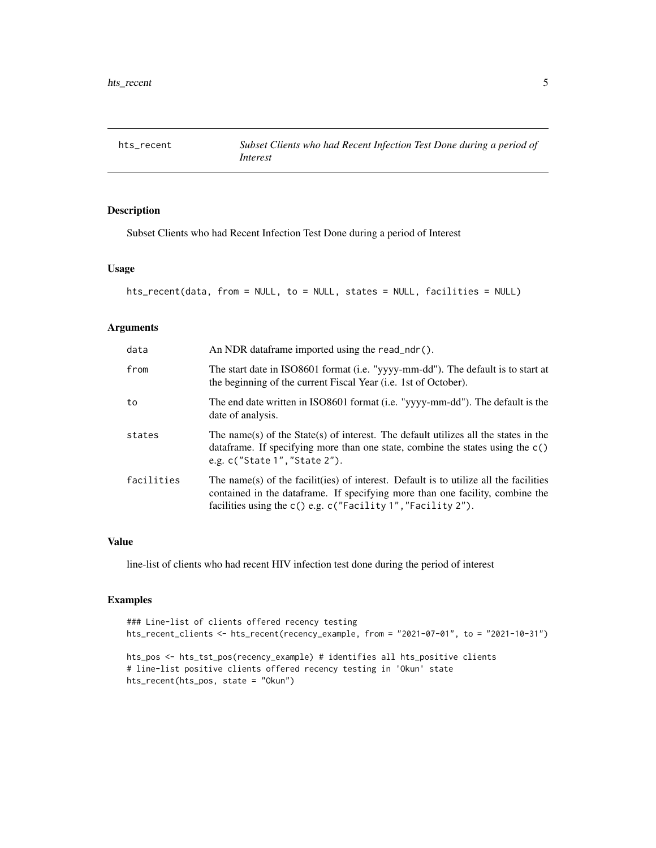<span id="page-4-0"></span>

Subset Clients who had Recent Infection Test Done during a period of Interest

#### Usage

```
hts_recent(data, from = NULL, to = NULL, states = NULL, facilities = NULL)
```
# Arguments

| data       | An NDR dataframe imported using the read_ndr().                                                                                                                                                                                        |
|------------|----------------------------------------------------------------------------------------------------------------------------------------------------------------------------------------------------------------------------------------|
| from       | The start date in ISO8601 format (i.e. "yyyy-mm-dd"). The default is to start at<br>the beginning of the current Fiscal Year ( <i>i.e.</i> 1st of October).                                                                            |
| to         | The end date written in ISO8601 format (i.e. "yyyy-mm-dd"). The default is the<br>date of analysis.                                                                                                                                    |
| states     | The name(s) of the State(s) of interest. The default utilizes all the states in the<br>data frame. If specifying more than one state, combine the states using the $c()$<br>e.g. c("State 1", "State 2").                              |
| facilities | The name(s) of the facilit(ies) of interest. Default is to utilize all the facilities<br>contained in the dataframe. If specifying more than one facility, combine the<br>facilities using the c() e.g. c("Facility 1", "Facility 2"). |

# Value

line-list of clients who had recent HIV infection test done during the period of interest

```
### Line-list of clients offered recency testing
hts_recent_clients <- hts_recent(recency_example, from = "2021-07-01", to = "2021-10-31")
hts_pos <- hts_tst_pos(recency_example) # identifies all hts_positive clients
# line-list positive clients offered recency testing in 'Okun' state
hts_recent(hts_pos, state = "Okun")
```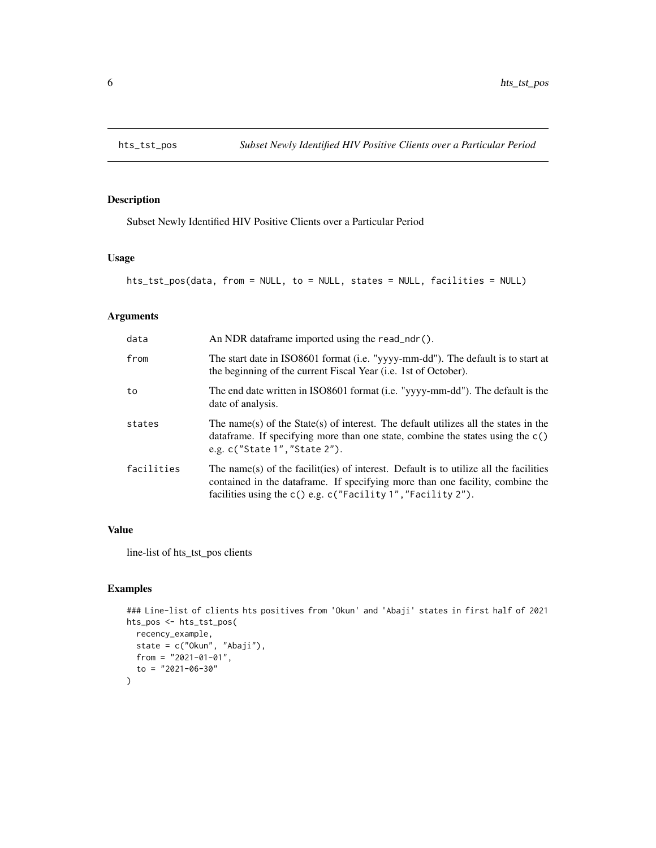<span id="page-5-0"></span>

Subset Newly Identified HIV Positive Clients over a Particular Period

# Usage

```
hts_tst_pos(data, from = NULL, to = NULL, states = NULL, facilities = NULL)
```
# Arguments

| data       | An NDR dataframe imported using the read_ndr().                                                                                                                                                                                         |
|------------|-----------------------------------------------------------------------------------------------------------------------------------------------------------------------------------------------------------------------------------------|
| from       | The start date in ISO8601 format (i.e. "yyyy-mm-dd"). The default is to start at<br>the beginning of the current Fiscal Year (i.e. 1st of October).                                                                                     |
| to         | The end date written in ISO8601 format (i.e. "yyyy-mm-dd"). The default is the<br>date of analysis.                                                                                                                                     |
| states     | The name(s) of the State(s) of interest. The default utilizes all the states in the<br>data frame. If specifying more than one state, combine the states using the $c()$<br>e.g. c("State 1", "State 2").                               |
| facilities | The name(s) of the facilit(ies) of interest. Default is to utilize all the facilities<br>contained in the data frame. If specifying more than one facility, combine the<br>facilities using the c() e.g. c("Facility 1", "Facility 2"). |

# Value

line-list of hts\_tst\_pos clients

```
### Line-list of clients hts positives from 'Okun' and 'Abaji' states in first half of 2021
hts_pos <- hts_tst_pos(
 recency_example,
 state = c("Okun", "Abaji"),
 from = "2021-01-01",
  to = "2021-06-30"
)
```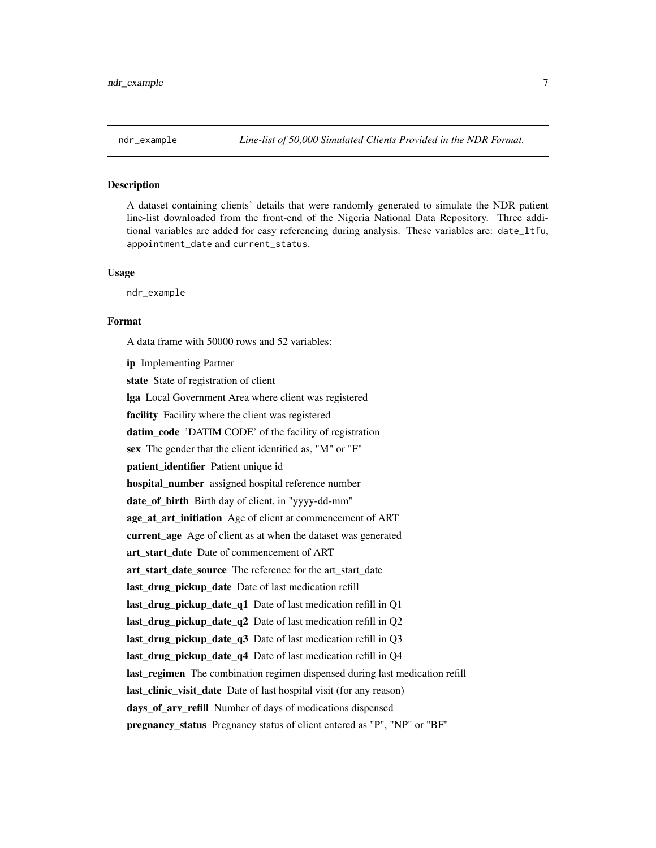<span id="page-6-0"></span>

A dataset containing clients' details that were randomly generated to simulate the NDR patient line-list downloaded from the front-end of the Nigeria National Data Repository. Three additional variables are added for easy referencing during analysis. These variables are: date\_ltfu, appointment\_date and current\_status.

#### Usage

ndr\_example

#### Format

A data frame with 50000 rows and 52 variables:

ip Implementing Partner state State of registration of client lga Local Government Area where client was registered facility Facility where the client was registered datim\_code 'DATIM CODE' of the facility of registration sex The gender that the client identified as, "M" or "F" patient identifier Patient unique id hospital number assigned hospital reference number date\_of\_birth Birth day of client, in "yyyy-dd-mm" age\_at\_art\_initiation Age of client at commencement of ART current\_age Age of client as at when the dataset was generated art\_start\_date Date of commencement of ART art\_start\_date\_source The reference for the art\_start\_date last\_drug\_pickup\_date Date of last medication refill last\_drug\_pickup\_date\_q1 Date of last medication refill in Q1 last\_drug\_pickup\_date\_q2 Date of last medication refill in Q2 last\_drug\_pickup\_date\_q3 Date of last medication refill in Q3 last\_drug\_pickup\_date\_q4 Date of last medication refill in Q4 last\_regimen The combination regimen dispensed during last medication refill last clinic visit date Date of last hospital visit (for any reason) days\_of\_arv\_refill Number of days of medications dispensed pregnancy\_status Pregnancy status of client entered as "P", "NP" or "BF"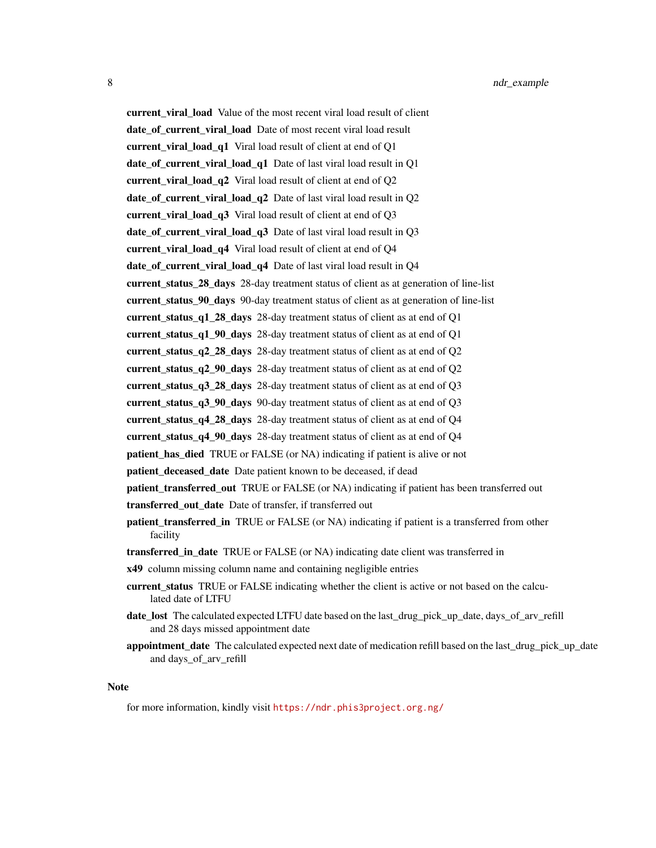current\_viral\_load Value of the most recent viral load result of client date\_of\_current\_viral\_load Date of most recent viral load result current viral load q1 Viral load result of client at end of Q1 date\_of\_current\_viral\_load\_q1 Date of last viral load result in Q1 current\_viral\_load\_q2 Viral load result of client at end of Q2 date\_of\_current\_viral\_load\_q2 Date of last viral load result in Q2 current viral load q3 Viral load result of client at end of Q3 date of current viral load q3 Date of last viral load result in Q3 current\_viral\_load\_q4 Viral load result of client at end of Q4 date\_of\_current\_viral\_load\_q4 Date of last viral load result in Q4 current\_status\_28\_days 28-day treatment status of client as at generation of line-list current\_status\_90\_days 90-day treatment status of client as at generation of line-list current\_status\_q1\_28\_days 28-day treatment status of client as at end of Q1 current\_status\_q1\_90\_days 28-day treatment status of client as at end of Q1 current\_status\_q2\_28\_days 28-day treatment status of client as at end of Q2 current\_status\_q2\_90\_days 28-day treatment status of client as at end of Q2 current\_status\_q3\_28\_days 28-day treatment status of client as at end of Q3 current status  $q3$  90 days 90-day treatment status of client as at end of Q3 current status  $q4$  28 days 28-day treatment status of client as at end of Q4 current\_status\_q4\_90\_days 28-day treatment status of client as at end of Q4 patient\_has\_died TRUE or FALSE (or NA) indicating if patient is alive or not patient\_deceased\_date Date patient known to be deceased, if dead patient\_transferred\_out TRUE or FALSE (or NA) indicating if patient has been transferred out transferred\_out\_date Date of transfer, if transferred out patient\_transferred\_in TRUE or FALSE (or NA) indicating if patient is a transferred from other facility transferred\_in\_date TRUE or FALSE (or NA) indicating date client was transferred in x49 column missing column name and containing negligible entries current status TRUE or FALSE indicating whether the client is active or not based on the calculated date of LTFU

- date\_lost The calculated expected LTFU date based on the last\_drug\_pick\_up\_date, days\_of\_arv\_refill and 28 days missed appointment date
- appointment\_date The calculated expected next date of medication refill based on the last\_drug\_pick\_up\_date and days\_of\_arv\_refill

#### Note

for more information, kindly visit <https://ndr.phis3project.org.ng/>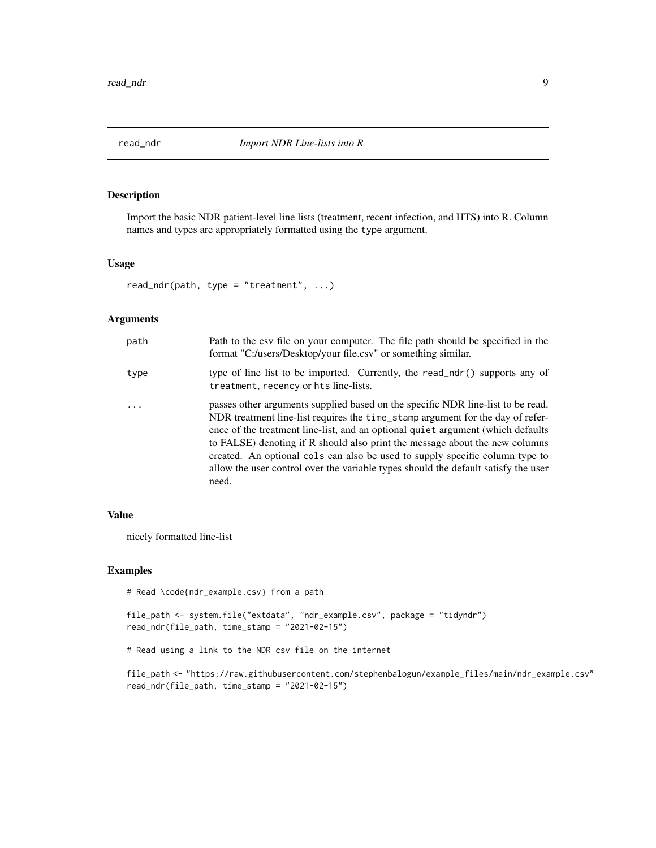<span id="page-8-0"></span>

Import the basic NDR patient-level line lists (treatment, recent infection, and HTS) into R. Column names and types are appropriately formatted using the type argument.

#### Usage

```
read_ndr(path, type = "treatment", \ldots)
```
# Arguments

| path     | Path to the csv file on your computer. The file path should be specified in the<br>format "C:/users/Desktop/your file.csv" or something similar.                                                                                                                                                                                                                                                                                                                                                                   |
|----------|--------------------------------------------------------------------------------------------------------------------------------------------------------------------------------------------------------------------------------------------------------------------------------------------------------------------------------------------------------------------------------------------------------------------------------------------------------------------------------------------------------------------|
| type     | type of line list to be imported. Currently, the read_ndr() supports any of<br>treatment, recency or hts line-lists.                                                                                                                                                                                                                                                                                                                                                                                               |
| $\cdots$ | passes other arguments supplied based on the specific NDR line-list to be read.<br>NDR treatment line-list requires the time_stamp argument for the day of refer-<br>ence of the treatment line-list, and an optional quiet argument (which defaults<br>to FALSE) denoting if R should also print the message about the new columns<br>created. An optional cols can also be used to supply specific column type to<br>allow the user control over the variable types should the default satisfy the user<br>need. |

#### Value

nicely formatted line-list

#### Examples

```
# Read \code{ndr_example.csv} from a path
```

```
file_path <- system.file("extdata", "ndr_example.csv", package = "tidyndr")
read_ndr(file_path, time_stamp = "2021-02-15")
```

```
# Read using a link to the NDR csv file on the internet
```
file\_path <- "https://raw.githubusercontent.com/stephenbalogun/example\_files/main/ndr\_example.csv" read\_ndr(file\_path, time\_stamp = "2021-02-15")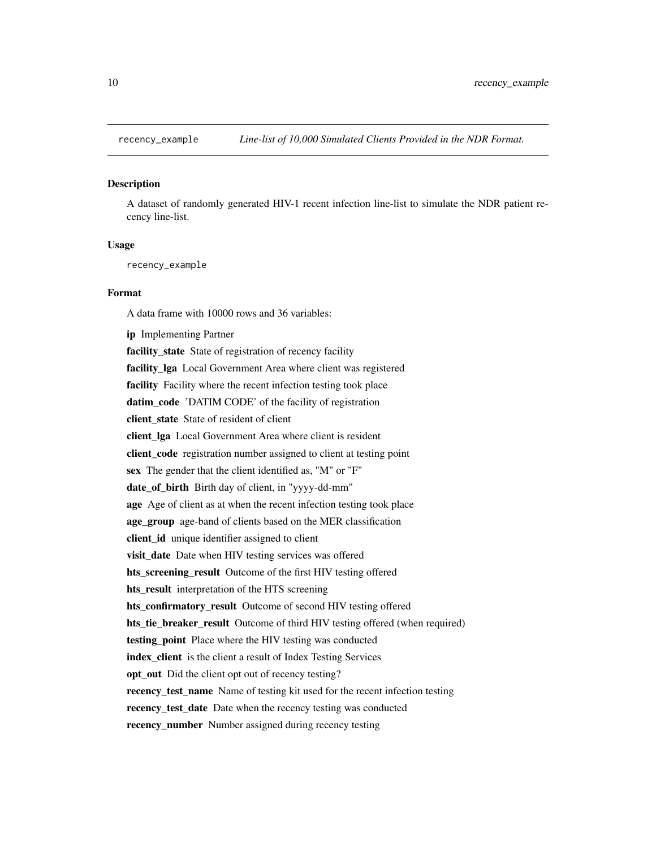<span id="page-9-0"></span>

A dataset of randomly generated HIV-1 recent infection line-list to simulate the NDR patient recency line-list.

#### Usage

recency\_example

#### Format

A data frame with 10000 rows and 36 variables:

ip Implementing Partner

facility\_state State of registration of recency facility facility\_lga Local Government Area where client was registered facility Facility where the recent infection testing took place datim\_code 'DATIM CODE' of the facility of registration client\_state State of resident of client client\_lga Local Government Area where client is resident client\_code registration number assigned to client at testing point sex The gender that the client identified as, "M" or "F" date\_of\_birth Birth day of client, in "yyyy-dd-mm" age Age of client as at when the recent infection testing took place age\_group age-band of clients based on the MER classification client\_id unique identifier assigned to client visit\_date Date when HIV testing services was offered hts screening result Outcome of the first HIV testing offered hts\_result interpretation of the HTS screening hts\_confirmatory\_result Outcome of second HIV testing offered hts\_tie\_breaker\_result Outcome of third HIV testing offered (when required) testing\_point Place where the HIV testing was conducted index\_client is the client a result of Index Testing Services opt\_out Did the client opt out of recency testing? recency\_test\_name Name of testing kit used for the recent infection testing recency\_test\_date Date when the recency testing was conducted recency\_number Number assigned during recency testing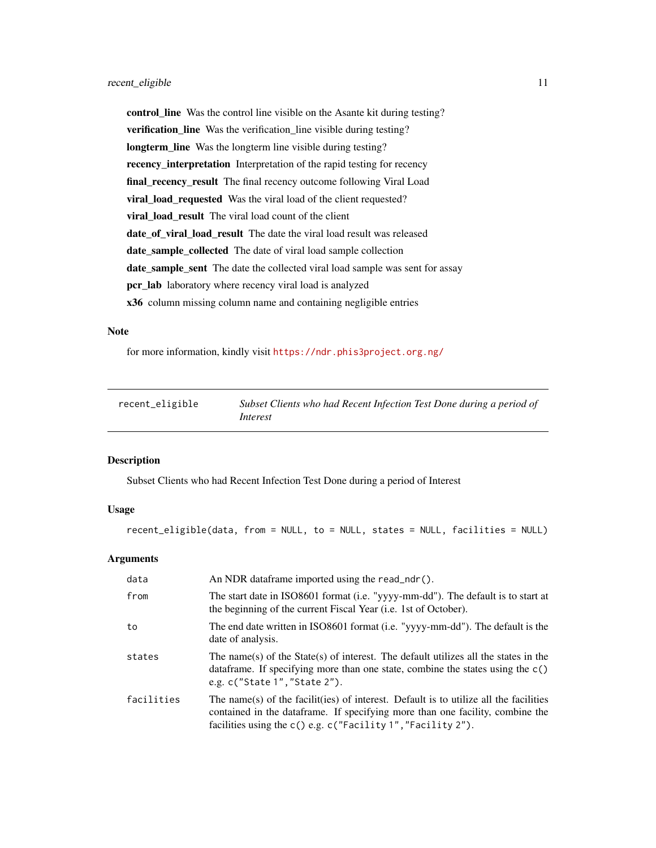<span id="page-10-0"></span>control\_line Was the control line visible on the Asante kit during testing? verification\_line Was the verification\_line visible during testing? longterm\_line Was the longterm line visible during testing? recency\_interpretation Interpretation of the rapid testing for recency final\_recency\_result The final recency outcome following Viral Load viral\_load\_requested Was the viral load of the client requested? viral\_load\_result The viral load count of the client date\_of\_viral\_load\_result The date the viral load result was released date\_sample\_collected The date of viral load sample collection date\_sample\_sent The date the collected viral load sample was sent for assay pcr\_lab laboratory where recency viral load is analyzed x36 column missing column name and containing negligible entries

#### Note

for more information, kindly visit <https://ndr.phis3project.org.ng/>

| recent_eligible | Subset Clients who had Recent Infection Test Done during a period of |
|-----------------|----------------------------------------------------------------------|
|                 | Interest                                                             |

#### Description

Subset Clients who had Recent Infection Test Done during a period of Interest

#### Usage

recent\_eligible(data, from = NULL, to = NULL, states = NULL, facilities = NULL)

#### Arguments

| data       | An NDR dataframe imported using the read_ndr().                                                                                                                                                                                         |
|------------|-----------------------------------------------------------------------------------------------------------------------------------------------------------------------------------------------------------------------------------------|
| from       | The start date in ISO8601 format (i.e. "yyyy-mm-dd"). The default is to start at<br>the beginning of the current Fiscal Year ( <i>i.e.</i> 1st of October).                                                                             |
| to         | The end date written in ISO8601 format (i.e. "yyyy-mm-dd"). The default is the<br>date of analysis.                                                                                                                                     |
| states     | The name(s) of the State(s) of interest. The default utilizes all the states in the<br>data frame. If specifying more than one state, combine the states using the $c()$<br>e.g. $c("State 1", "State 2").$                             |
| facilities | The name(s) of the facilit(ies) of interest. Default is to utilize all the facilities<br>contained in the data frame. If specifying more than one facility, combine the<br>facilities using the c() e.g. c("Facility 1", "Facility 2"). |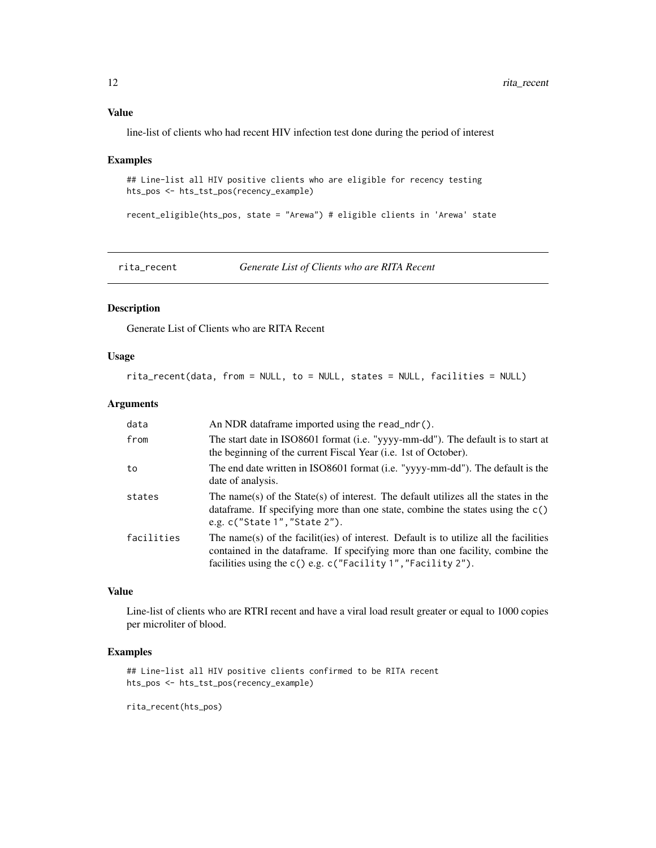<span id="page-11-0"></span>line-list of clients who had recent HIV infection test done during the period of interest

#### Examples

```
## Line-list all HIV positive clients who are eligible for recency testing
hts_pos <- hts_tst_pos(recency_example)
```
recent\_eligible(hts\_pos, state = "Arewa") # eligible clients in 'Arewa' state

rita\_recent *Generate List of Clients who are RITA Recent*

#### Description

Generate List of Clients who are RITA Recent

#### Usage

rita\_recent(data, from = NULL, to = NULL, states = NULL, facilities = NULL)

#### Arguments

| data       | An NDR dataframe imported using the read_ndr().                                                                                                                                                                                         |
|------------|-----------------------------------------------------------------------------------------------------------------------------------------------------------------------------------------------------------------------------------------|
| from       | The start date in ISO8601 format (i.e. "yyyy-mm-dd"). The default is to start at<br>the beginning of the current Fiscal Year (i.e. 1st of October).                                                                                     |
| to         | The end date written in ISO8601 format (i.e. "yyyy-mm-dd"). The default is the<br>date of analysis.                                                                                                                                     |
| states     | The name(s) of the State(s) of interest. The default utilizes all the states in the<br>data frame. If specifying more than one state, combine the states using the $c()$<br>e.g. $c("State 1", "State 2").$                             |
| facilities | The name(s) of the facilit(ies) of interest. Default is to utilize all the facilities<br>contained in the data frame. If specifying more than one facility, combine the<br>facilities using the c() e.g. c("Facility 1", "Facility 2"). |

# Value

Line-list of clients who are RTRI recent and have a viral load result greater or equal to 1000 copies per microliter of blood.

#### Examples

```
## Line-list all HIV positive clients confirmed to be RITA recent
hts_pos <- hts_tst_pos(recency_example)
```
rita\_recent(hts\_pos)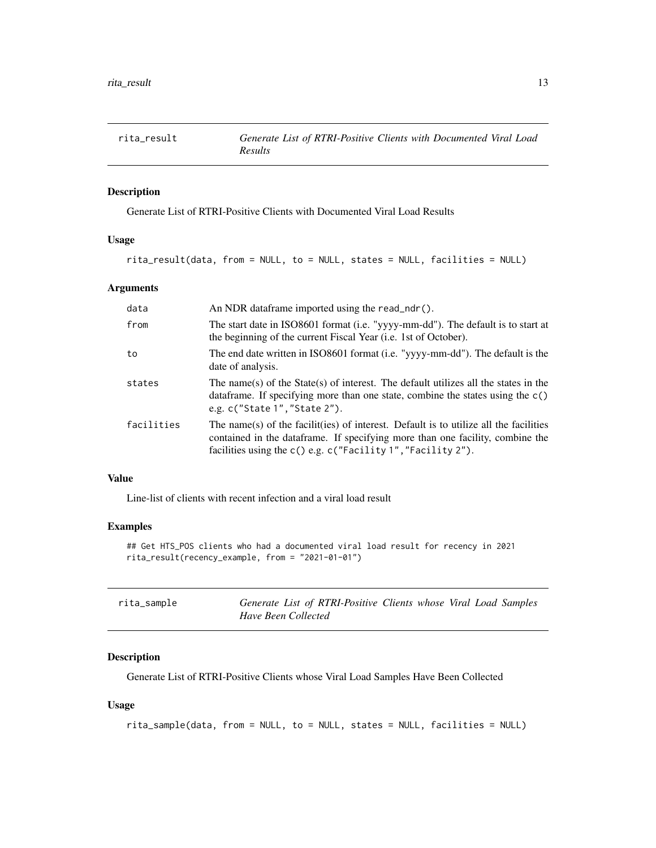<span id="page-12-0"></span>

Generate List of RTRI-Positive Clients with Documented Viral Load Results

#### Usage

```
rita_result(data, from = NULL, to = NULL, states = NULL, facilities = NULL)
```
# Arguments

| data       | An NDR dataframe imported using the read_ndr().                                                                                                                                                                                         |
|------------|-----------------------------------------------------------------------------------------------------------------------------------------------------------------------------------------------------------------------------------------|
| from       | The start date in ISO8601 format (i.e. "yyyy-mm-dd"). The default is to start at<br>the beginning of the current Fiscal Year (i.e. 1st of October).                                                                                     |
| to         | The end date written in ISO8601 format (i.e. "yyyy-mm-dd"). The default is the<br>date of analysis.                                                                                                                                     |
| states     | The name(s) of the State(s) of interest. The default utilizes all the states in the<br>data frame. If specifying more than one state, combine the states using the $c()$<br>e.g. c("State 1", "State 2").                               |
| facilities | The name(s) of the facilit(ies) of interest. Default is to utilize all the facilities<br>contained in the data frame. If specifying more than one facility, combine the<br>facilities using the c() e.g. c("Facility 1", "Facility 2"). |

#### Value

Line-list of clients with recent infection and a viral load result

# Examples

```
## Get HTS_POS clients who had a documented viral load result for recency in 2021
rita_result(recency_example, from = "2021-01-01")
```

| rita_sample | Generate List of RTRI-Positive Clients whose Viral Load Samples |  |  |  |
|-------------|-----------------------------------------------------------------|--|--|--|
|             | Have Been Collected                                             |  |  |  |

# Description

Generate List of RTRI-Positive Clients whose Viral Load Samples Have Been Collected

#### Usage

```
rita_sample(data, from = NULL, to = NULL, states = NULL, facilities = NULL)
```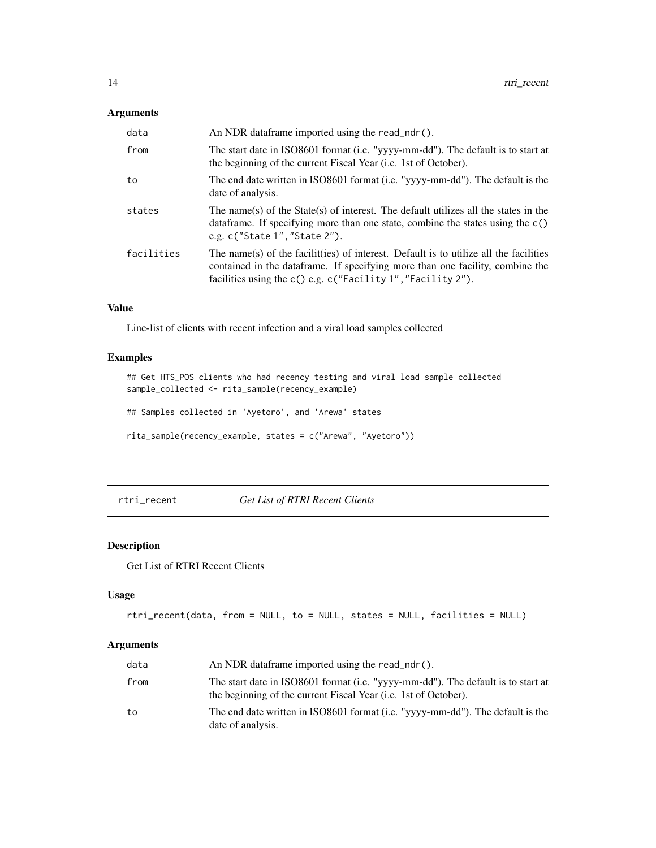# <span id="page-13-0"></span>Arguments

| data       | An NDR dataframe imported using the read_ndr().                                                                                                                                                                                        |
|------------|----------------------------------------------------------------------------------------------------------------------------------------------------------------------------------------------------------------------------------------|
| from       | The start date in ISO8601 format (i.e. "yyyy-mm-dd"). The default is to start at<br>the beginning of the current Fiscal Year ( <i>i.e.</i> 1st of October).                                                                            |
| to         | The end date written in ISO8601 format (i.e. "yyyy-mm-dd"). The default is the<br>date of analysis.                                                                                                                                    |
| states     | The name(s) of the State(s) of interest. The default utilizes all the states in the<br>data frame. If specifying more than one state, combine the states using the $c()$<br>e.g. c("State 1", "State 2").                              |
| facilities | The name(s) of the facilit(ies) of interest. Default is to utilize all the facilities<br>contained in the dataframe. If specifying more than one facility, combine the<br>facilities using the c() e.g. c("Facility 1", "Facility 2"). |

# Value

Line-list of clients with recent infection and a viral load samples collected

# Examples

## Get HTS\_POS clients who had recency testing and viral load sample collected sample\_collected <- rita\_sample(recency\_example)

## Samples collected in 'Ayetoro', and 'Arewa' states

rita\_sample(recency\_example, states = c("Arewa", "Ayetoro"))

rtri\_recent *Get List of RTRI Recent Clients*

# Description

Get List of RTRI Recent Clients

# Usage

```
rtri_recent(data, from = NULL, to = NULL, states = NULL, facilities = NULL)
```
# Arguments

| data | An NDR dataframe imported using the read ndr().                                                                                                             |
|------|-------------------------------------------------------------------------------------------------------------------------------------------------------------|
| from | The start date in ISO8601 format (i.e. "yyyy-mm-dd"). The default is to start at<br>the beginning of the current Fiscal Year ( <i>i.e.</i> 1st of October). |
| to   | The end date written in ISO8601 format (i.e. "yyyy-mm-dd"). The default is the<br>date of analysis.                                                         |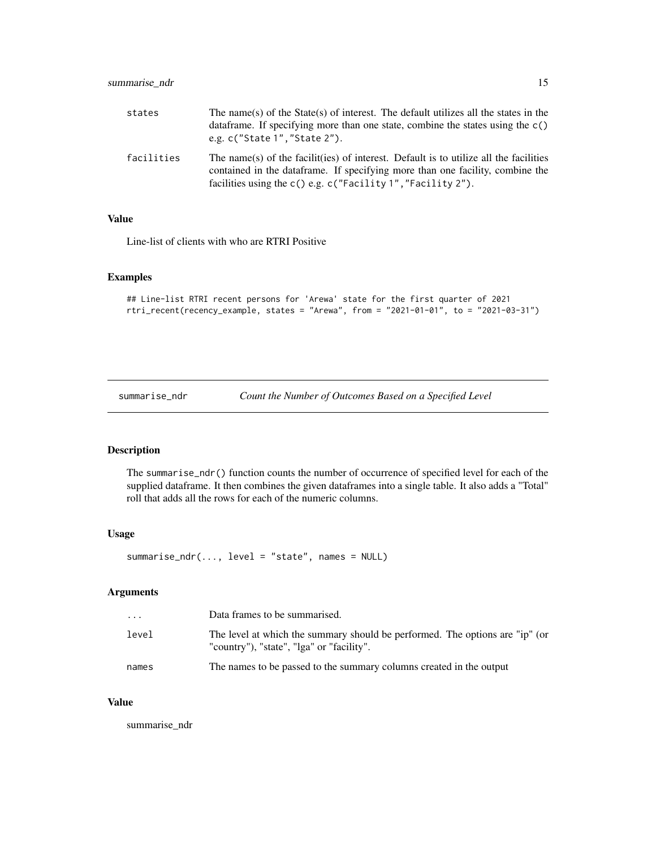<span id="page-14-0"></span>

| states     | The name(s) of the State(s) of interest. The default utilizes all the states in the<br>data frame. If specifying more than one state, combine the states using the $c()$<br>e.g. $c$ ("State 1", "State 2").                            |
|------------|-----------------------------------------------------------------------------------------------------------------------------------------------------------------------------------------------------------------------------------------|
| facilities | The name(s) of the facilit(ies) of interest. Default is to utilize all the facilities<br>contained in the data frame. If specifying more than one facility, combine the<br>facilities using the c() e.g. c("Facility 1", "Facility 2"). |

# Value

Line-list of clients with who are RTRI Positive

# Examples

```
## Line-list RTRI recent persons for 'Arewa' state for the first quarter of 2021
rtri_recent(recency_example, states = "Arewa", from = "2021-01-01", to = "2021-03-31")
```
summarise\_ndr *Count the Number of Outcomes Based on a Specified Level*

# Description

The summarise\_ndr() function counts the number of occurrence of specified level for each of the supplied dataframe. It then combines the given dataframes into a single table. It also adds a "Total" roll that adds all the rows for each of the numeric columns.

#### Usage

```
summarise_ndr(..., level = "state", names = NULL)
```
# Arguments

| $\cdot$ $\cdot$ $\cdot$ | Data frames to be summarised.                                                                                             |
|-------------------------|---------------------------------------------------------------------------------------------------------------------------|
| level                   | The level at which the summary should be performed. The options are "ip" (or<br>"country"), "state", "lga" or "facility". |
| names                   | The names to be passed to the summary columns created in the output                                                       |

# Value

summarise\_ndr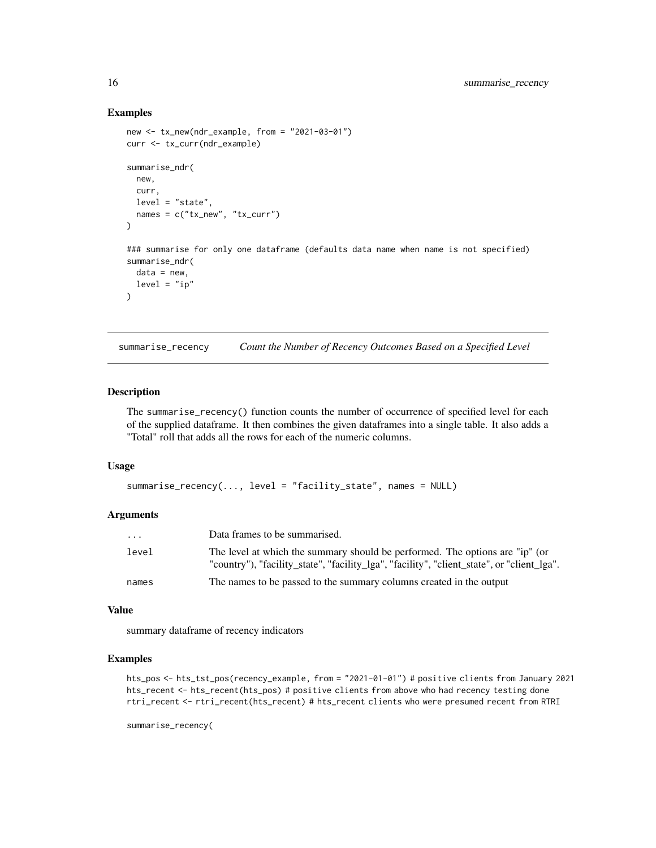#### Examples

```
new <- tx_new(ndr_example, from = "2021-03-01")
curr <- tx_curr(ndr_example)
summarise_ndr(
  new,
  curr,
  level = "state",
  names = c("tx_new", "tx_count"))
### summarise for only one dataframe (defaults data name when name is not specified)
summarise_ndr(
 data = new,level = "ip")
```
summarise\_recency *Count the Number of Recency Outcomes Based on a Specified Level*

# Description

The summarise\_recency() function counts the number of occurrence of specified level for each of the supplied dataframe. It then combines the given dataframes into a single table. It also adds a "Total" roll that adds all the rows for each of the numeric columns.

#### Usage

```
summarise_recency(..., level = "facility_state", names = NULL)
```
#### Arguments

| $\cdot$ $\cdot$ $\cdot$ | Data frames to be summarised.                                                                                                                                              |
|-------------------------|----------------------------------------------------------------------------------------------------------------------------------------------------------------------------|
| level                   | The level at which the summary should be performed. The options are "ip" (or<br>"country"), "facility_state", "facility_lga", "facility", "client_state", or "client_lga". |
| names                   | The names to be passed to the summary columns created in the output                                                                                                        |

#### Value

summary dataframe of recency indicators

# Examples

```
hts_pos <- hts_tst_pos(recency_example, from = "2021-01-01") # positive clients from January 2021
hts_recent <- hts_recent(hts_pos) # positive clients from above who had recency testing done
rtri_recent <- rtri_recent(hts_recent) # hts_recent clients who were presumed recent from RTRI
```
summarise\_recency(

<span id="page-15-0"></span>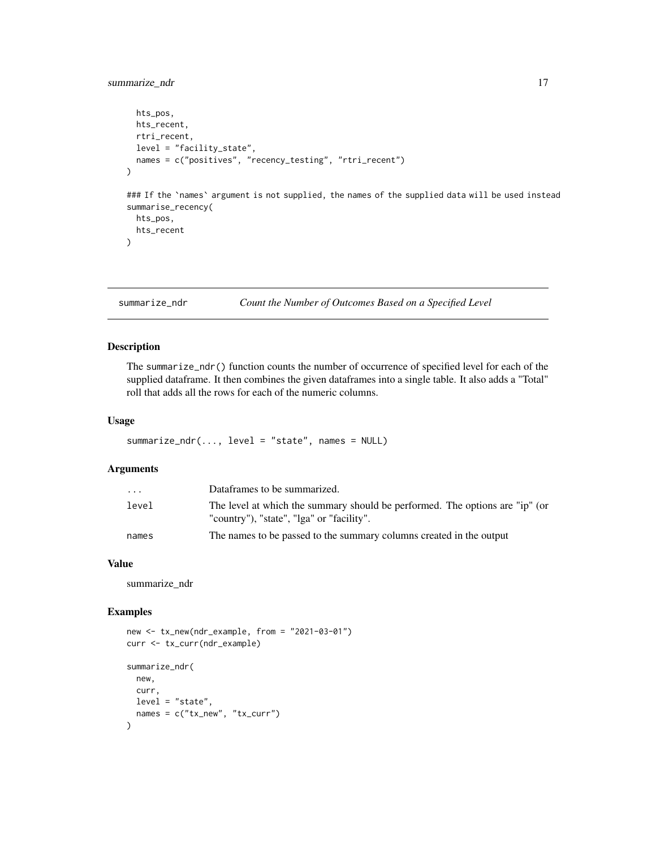# <span id="page-16-0"></span>summarize\_ndr 17

```
hts_pos,
 hts_recent,
  rtri_recent,
  level = "facility_state",
  names = c("positives", "recency_testing", "rtri_recent")
\mathcal{L}### If the `names` argument is not supplied, the names of the supplied data will be used instead
summarise_recency(
  hts_pos,
  hts_recent
\mathcal{L}
```
#### summarize\_ndr *Count the Number of Outcomes Based on a Specified Level*

# Description

The summarize\_ndr() function counts the number of occurrence of specified level for each of the supplied dataframe. It then combines the given dataframes into a single table. It also adds a "Total" roll that adds all the rows for each of the numeric columns.

#### Usage

summarize\_ndr(..., level = "state", names = NULL)

# Arguments

| $\cdot$ $\cdot$ $\cdot$ | Dataframes to be summarized.                                                                                              |
|-------------------------|---------------------------------------------------------------------------------------------------------------------------|
| level                   | The level at which the summary should be performed. The options are "ip" (or<br>"country"), "state", "lga" or "facility". |
| names                   | The names to be passed to the summary columns created in the output                                                       |

# Value

summarize\_ndr

```
new <- tx_new(ndr_example, from = "2021-03-01")
curr <- tx_curr(ndr_example)
summarize_ndr(
 new,
  curr,
 level = "state",
  names = c("tx_new", "tx_count"))
```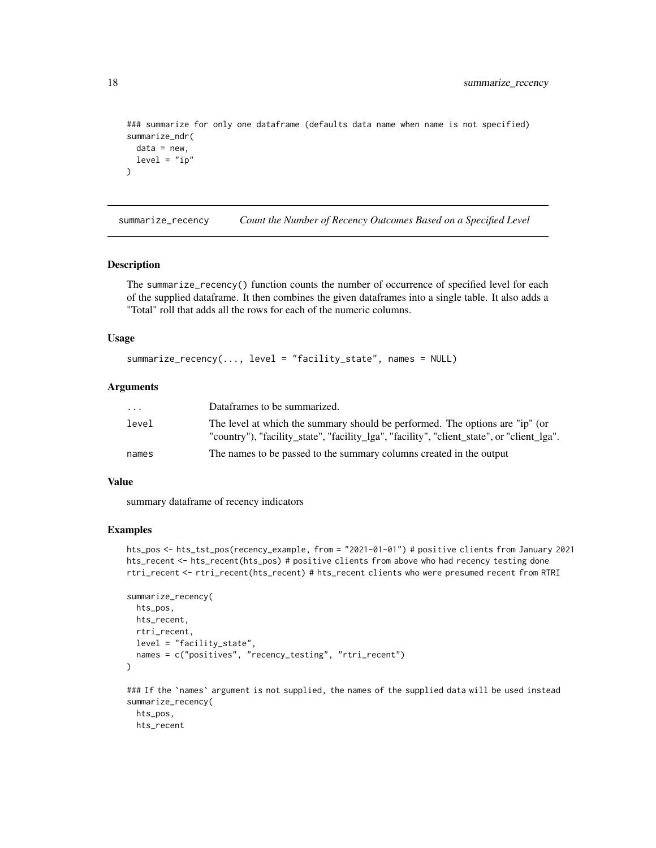```
### summarize for only one dataframe (defaults data name when name is not specified)
summarize_ndr(
 data = new,level = "ip"\lambda
```
summarize\_recency *Count the Number of Recency Outcomes Based on a Specified Level*

# **Description**

The summarize\_recency() function counts the number of occurrence of specified level for each of the supplied dataframe. It then combines the given dataframes into a single table. It also adds a "Total" roll that adds all the rows for each of the numeric columns.

#### Usage

```
summarize_recency(..., level = "facility_state", names = NULL)
```
#### Arguments

| $\cdot$ $\cdot$ $\cdot$ | Dataframes to be summarized.                                                                                                                                               |
|-------------------------|----------------------------------------------------------------------------------------------------------------------------------------------------------------------------|
| level                   | The level at which the summary should be performed. The options are "ip" (or<br>"country"), "facility_state", "facility_lga", "facility", "client_state", or "client_lga". |
| names                   | The names to be passed to the summary columns created in the output                                                                                                        |

# Value

summary dataframe of recency indicators

#### Examples

```
hts_pos <- hts_tst_pos(recency_example, from = "2021-01-01") # positive clients from January 2021
hts_recent <- hts_recent(hts_pos) # positive clients from above who had recency testing done
rtri_recent <- rtri_recent(hts_recent) # hts_recent clients who were presumed recent from RTRI
```

```
summarize_recency(
 hts_pos,
 hts_recent,
 rtri_recent,
 level = "facility_state",
 names = c("positives", "recency_testing", "rtri_recent")
)
### If the `names` argument is not supplied, the names of the supplied data will be used instead
```
summarize\_recency( hts\_pos, hts\_recent

<span id="page-17-0"></span>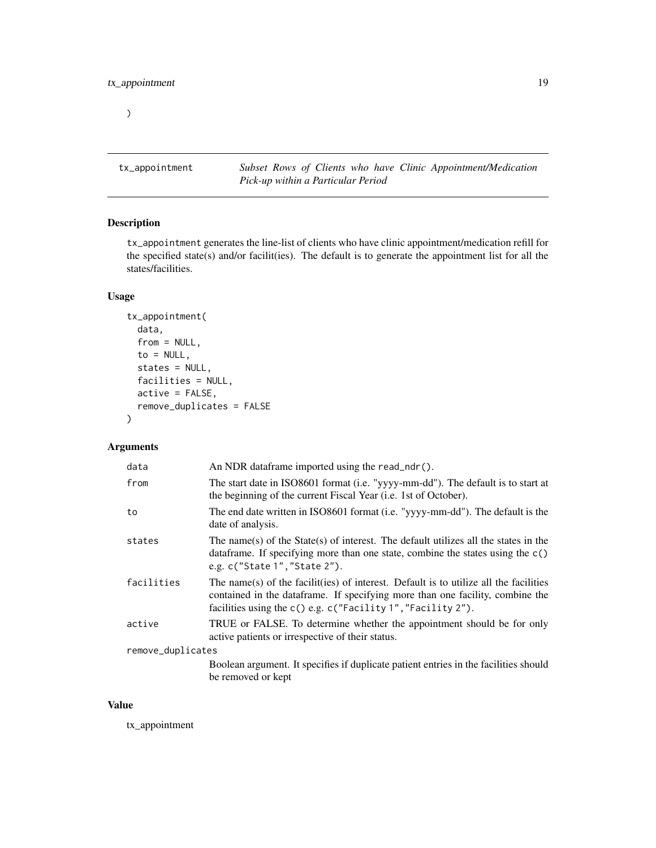<span id="page-18-0"></span> $\overline{\phantom{a}}$ 

tx\_appointment *Subset Rows of Clients who have Clinic Appointment/Medication Pick-up within a Particular Period*

# Description

tx\_appointment generates the line-list of clients who have clinic appointment/medication refill for the specified state(s) and/or facilit(ies). The default is to generate the appointment list for all the states/facilities.

# Usage

```
tx_appointment(
  data,
  from = NULL,
  to = NULL,
  states = NULL,
  facilities = NULL,
  active = FALSE,
  remove_duplicates = FALSE
\mathcal{E}
```
# Arguments

| data              | An NDR dataframe imported using the read_ndr().                                                                                                                                                                                       |
|-------------------|---------------------------------------------------------------------------------------------------------------------------------------------------------------------------------------------------------------------------------------|
| from              | The start date in ISO8601 format (i.e. "yyyy-mm-dd"). The default is to start at<br>the beginning of the current Fiscal Year ( <i>i.e.</i> 1st of October).                                                                           |
| to                | The end date written in ISO8601 format (i.e. "yyyy-mm-dd"). The default is the<br>date of analysis.                                                                                                                                   |
| states            | The name(s) of the State(s) of interest. The default utilizes all the states in the<br>data frame. If specifying more than one state, combine the states using the $c()$<br>e.g. c("State 1", "State 2").                             |
| facilities        | The name(s) of the facilit(ies) of interest. Default is to utilize all the facilities<br>contained in the dataframe. If specifying more than one facility, combine the<br>facilities using the c() e.g. c("Facility 1","Facility 2"). |
| active            | TRUE or FALSE. To determine whether the appointment should be for only<br>active patients or irrespective of their status.                                                                                                            |
| remove_duplicates |                                                                                                                                                                                                                                       |
|                   | Boolean argument. It specifies if duplicate patient entries in the facilities should<br>be removed or kept                                                                                                                            |

#### Value

tx\_appointment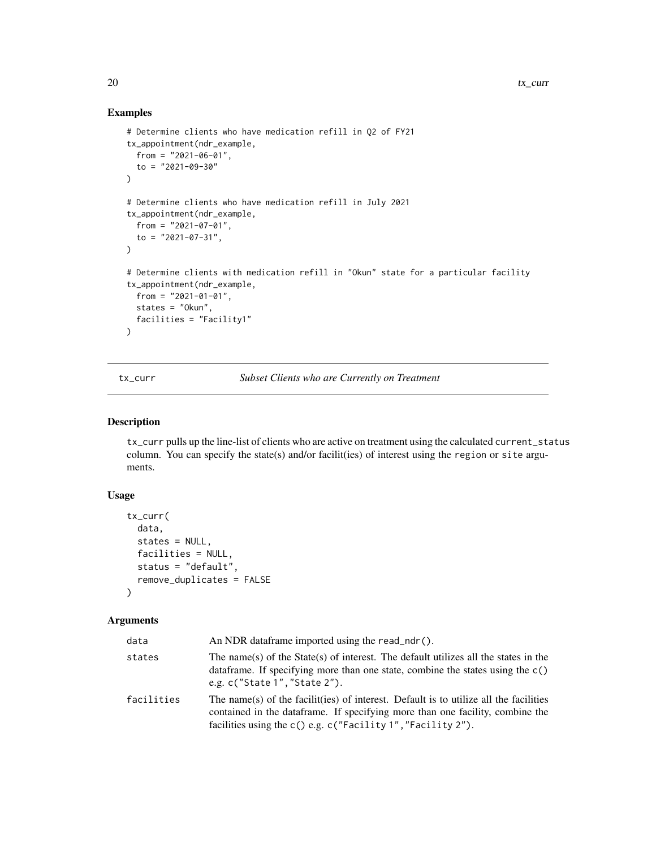# Examples

```
# Determine clients who have medication refill in Q2 of FY21
tx_appointment(ndr_example,
  from = "2021-06-01",
  to = "2021-09-30"
\lambda# Determine clients who have medication refill in July 2021
tx_appointment(ndr_example,
  from = "2021-07-01",
  to = "2021-07-31",
\lambda# Determine clients with medication refill in "Okun" state for a particular facility
tx_appointment(ndr_example,
 from = "2021-01-01",
  states = "Okun",
  facilities = "Facility1"
\lambda
```
tx\_curr *Subset Clients who are Currently on Treatment*

#### Description

tx\_curr pulls up the line-list of clients who are active on treatment using the calculated current\_status column. You can specify the state(s) and/or facilit(ies) of interest using the region or site arguments.

# Usage

```
tx_curr(
  data,
  states = NULL,
  facilities = NULL,
  status = "default",
  remove_duplicates = FALSE
\lambda
```
# Arguments

| data       | An NDR dataframe imported using the read_ndr().                                                                                                                                                                                         |
|------------|-----------------------------------------------------------------------------------------------------------------------------------------------------------------------------------------------------------------------------------------|
| states     | The name(s) of the State(s) of interest. The default utilizes all the states in the<br>data frame. If specifying more than one state, combine the states using the $c()$<br>e.g. $c$ ("State 1", "State 2").                            |
| facilities | The name(s) of the facilit(ies) of interest. Default is to utilize all the facilities<br>contained in the data frame. If specifying more than one facility, combine the<br>facilities using the c() e.g. c("Facility 1", "Facility 2"). |

<span id="page-19-0"></span>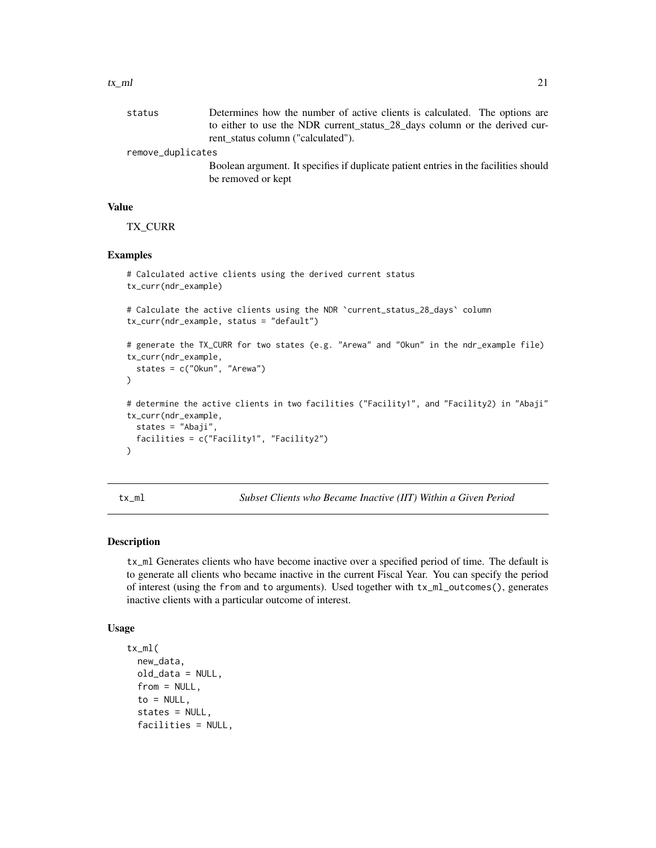<span id="page-20-0"></span>

| status            | Determines how the number of active clients is calculated. The options are           |
|-------------------|--------------------------------------------------------------------------------------|
|                   | to either to use the NDR current_status_28_days column or the derived cur-           |
|                   | rent status column ("calculated").                                                   |
| remove_duplicates |                                                                                      |
|                   | Boolean argument. It specifies if duplicate patient entries in the facilities should |
|                   | be removed or kept                                                                   |

# Value

TX\_CURR

# Examples

```
# Calculated active clients using the derived current status
tx_curr(ndr_example)
# Calculate the active clients using the NDR `current_status_28_days` column
tx_curr(ndr_example, status = "default")
# generate the TX_CURR for two states (e.g. "Arewa" and "Okun" in the ndr_example file)
tx_curr(ndr_example,
 states = c("Okun", "Arewa")
)
# determine the active clients in two facilities ("Facility1", and "Facility2) in "Abaji"
tx_curr(ndr_example,
 states = "Abaji",
 facilities = c("Facility1", "Facility2")
\mathcal{L}
```
tx\_ml *Subset Clients who Became Inactive (IIT) Within a Given Period*

#### Description

tx\_ml Generates clients who have become inactive over a specified period of time. The default is to generate all clients who became inactive in the current Fiscal Year. You can specify the period of interest (using the from and to arguments). Used together with tx\_ml\_outcomes(), generates inactive clients with a particular outcome of interest.

#### Usage

```
tx_ml(
  new_data,
  old_data = NULL,
  from = NULL,
  to = NULL,states = NULL,
  facilities = NULL,
```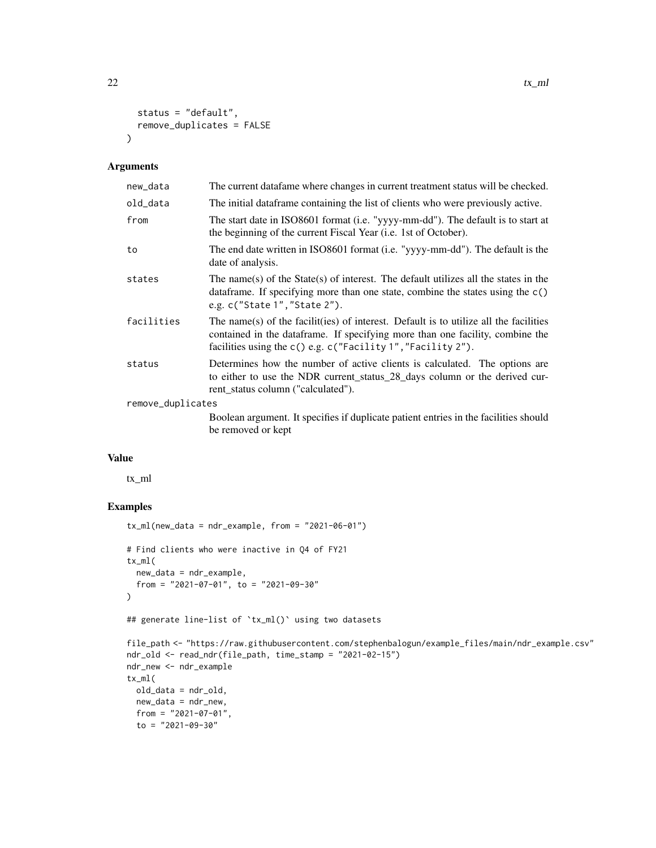```
22 tx\text{m}
```

```
status = "default",
  remove_duplicates = FALSE
\lambda
```
# Arguments

| new_data          | The current data fame where changes in current treatment status will be checked.                                                                                                                                                       |
|-------------------|----------------------------------------------------------------------------------------------------------------------------------------------------------------------------------------------------------------------------------------|
| old_data          | The initial dataframe containing the list of clients who were previously active.                                                                                                                                                       |
| from              | The start date in ISO8601 format (i.e. "yyyy-mm-dd"). The default is to start at<br>the beginning of the current Fiscal Year (i.e. 1st of October).                                                                                    |
| to                | The end date written in ISO8601 format (i.e. "yyyy-mm-dd"). The default is the<br>date of analysis.                                                                                                                                    |
| states            | The name(s) of the State(s) of interest. The default utilizes all the states in the<br>data frame. If specifying more than one state, combine the states using the $c()$<br>e.g. c("State 1", "State 2").                              |
| facilities        | The name(s) of the facilit(ies) of interest. Default is to utilize all the facilities<br>contained in the dataframe. If specifying more than one facility, combine the<br>facilities using the c() e.g. c("Facility 1", "Facility 2"). |
| status            | Determines how the number of active clients is calculated. The options are<br>to either to use the NDR current_status_28_days column or the derived cur-<br>rent status column ("calculated").                                         |
| remove_duplicates |                                                                                                                                                                                                                                        |
|                   | Boolean argument. It specifies if duplicate patient entries in the facilities should<br>be removed or kept                                                                                                                             |

#### Value

tx\_ml

```
tx_ml(new_data = ndr_example, from = "2021-06-01")# Find clients who were inactive in Q4 of FY21
tx_ml(
  new_data = ndr_example,
  from = "2021-07-01", to = "2021-09-30"
\mathcal{L}## generate line-list of `tx_ml()` using two datasets
file_path <- "https://raw.githubusercontent.com/stephenbalogun/example_files/main/ndr_example.csv"
ndr_old <- read_ndr(file_path, time_stamp = "2021-02-15")
ndr_new <- ndr_example
tx_ml(
 old_data = ndr_old,
 new_data = ndr_new,
 from = "2021-07-01",
 to = "2021-09-30"
```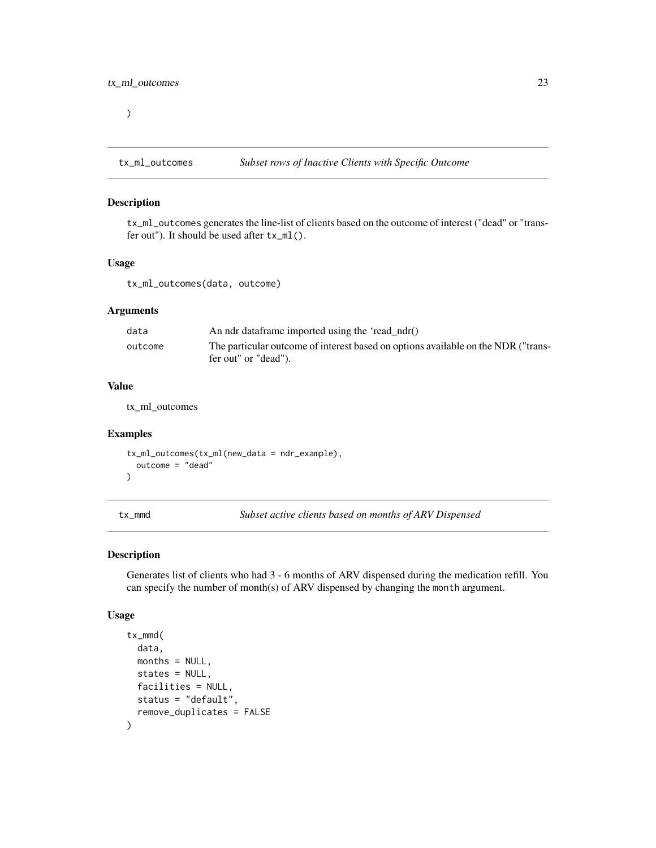<span id="page-22-0"></span> $\mathcal{L}$ 

#### Description

tx\_ml\_outcomes generates the line-list of clients based on the outcome of interest ("dead" or "transfer out"). It should be used after tx\_ml().

#### Usage

tx\_ml\_outcomes(data, outcome)

# Arguments

| data    | An ndr dataframe imported using the 'read_ndr()                                   |
|---------|-----------------------------------------------------------------------------------|
| outcome | The particular outcome of interest based on options available on the NDR ("trans- |
|         | fer out" or "dead").                                                              |

#### Value

tx\_ml\_outcomes

#### Examples

```
tx_ml_outcomes(tx_ml(new_data = ndr_example),
  outcome = "dead"
)
```
tx\_mmd *Subset active clients based on months of ARV Dispensed*

#### Description

Generates list of clients who had 3 - 6 months of ARV dispensed during the medication refill. You can specify the number of month(s) of ARV dispensed by changing the month argument.

#### Usage

```
tx_mmd(
  data,
 months = NULL,
 states = NULL,
 facilities = NULL,
 status = "default",
  remove_duplicates = FALSE
)
```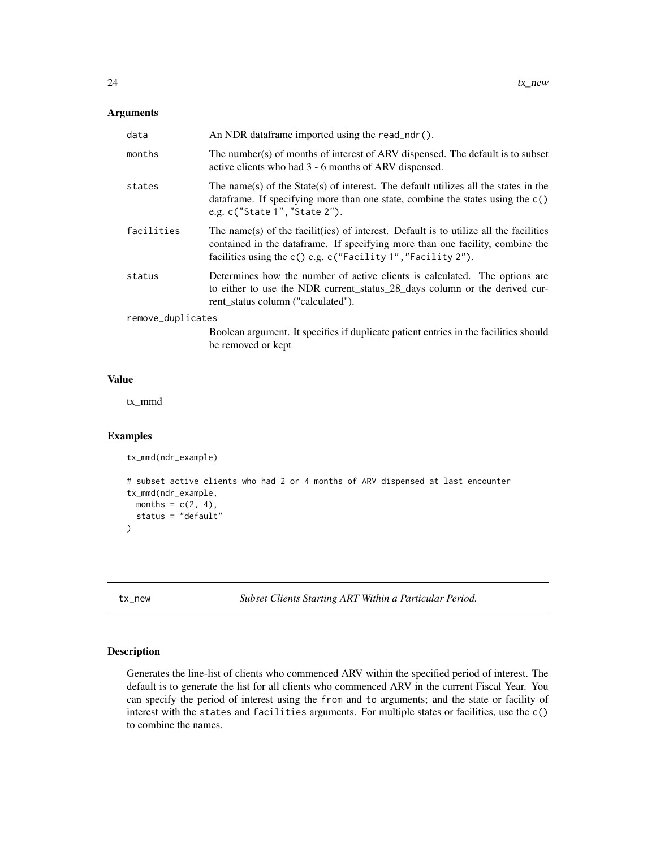# <span id="page-23-0"></span>Arguments

| data              | An NDR dataframe imported using the read_ndr().                                                                                                                                                                                        |
|-------------------|----------------------------------------------------------------------------------------------------------------------------------------------------------------------------------------------------------------------------------------|
| months            | The number(s) of months of interest of ARV dispensed. The default is to subset<br>active clients who had 3 - 6 months of ARV dispensed.                                                                                                |
| states            | The name(s) of the State(s) of interest. The default utilizes all the states in the<br>data frame. If specifying more than one state, combine the states using the $c()$<br>e.g. c("State 1", "State 2").                              |
| facilities        | The name(s) of the facilit(ies) of interest. Default is to utilize all the facilities<br>contained in the data frame. If specifying more than one facility, combine the<br>facilities using the c() e.g. c("Facility 1","Facility 2"). |
| status            | Determines how the number of active clients is calculated. The options are<br>to either to use the NDR current_status_28_days column or the derived cur-<br>rent status column ("calculated").                                         |
| remove_duplicates |                                                                                                                                                                                                                                        |
|                   | Boolean argument. It specifies if duplicate patient entries in the facilities should<br>be removed or kept                                                                                                                             |

# Value

tx\_mmd

# Examples

```
tx_mmd(ndr_example)
```

```
# subset active clients who had 2 or 4 months of ARV dispensed at last encounter
tx_mmd(ndr_example,
 months = c(2, 4),
 status = "default"
)
```
tx\_new *Subset Clients Starting ART Within a Particular Period.*

# Description

Generates the line-list of clients who commenced ARV within the specified period of interest. The default is to generate the list for all clients who commenced ARV in the current Fiscal Year. You can specify the period of interest using the from and to arguments; and the state or facility of interest with the states and facilities arguments. For multiple states or facilities, use the c() to combine the names.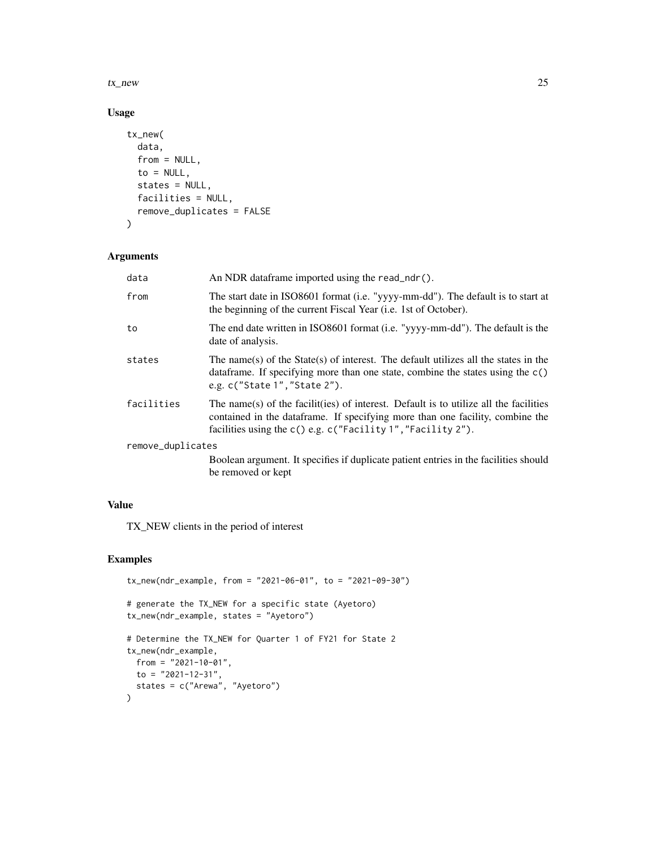tx\_new 25

# Usage

```
tx_new(
  data,
  from = NULL,
  to = NULL,
  states = NULL,
  facilities = NULL,
  remove_duplicates = FALSE
\mathcal{L}
```
# Arguments

| data              | An NDR dataframe imported using the read_ndr().                                                                                                                                                                                       |
|-------------------|---------------------------------------------------------------------------------------------------------------------------------------------------------------------------------------------------------------------------------------|
| from              | The start date in ISO8601 format (i.e. "yyyy-mm-dd"). The default is to start at<br>the beginning of the current Fiscal Year (i.e. 1st of October).                                                                                   |
| to                | The end date written in ISO8601 format (i.e. "yyyy-mm-dd"). The default is the<br>date of analysis.                                                                                                                                   |
| states            | The name(s) of the State(s) of interest. The default utilizes all the states in the<br>data frame. If specifying more than one state, combine the states using the $c()$<br>e.g. c("State 1", "State 2").                             |
| facilities        | The name(s) of the facilities of interest. Default is to utilize all the facilities<br>contained in the data frame. If specifying more than one facility, combine the<br>facilities using the c() e.g. c("Facility 1", "Facility 2"). |
| remove_duplicates |                                                                                                                                                                                                                                       |
|                   | Boolean argument. It specifies if duplicate patient entries in the facilities should<br>be removed or kept                                                                                                                            |

# Value

TX\_NEW clients in the period of interest

```
tx_new(ndr_example, from = "2021-06-01", to = "2021-09-30")
# generate the TX_NEW for a specific state (Ayetoro)
tx_new(ndr_example, states = "Ayetoro")
# Determine the TX_NEW for Quarter 1 of FY21 for State 2
tx_new(ndr_example,
 from = "2021-10-01",
 to = "2021-12-31",
 states = c("Arewa", "Ayetoro")
)
```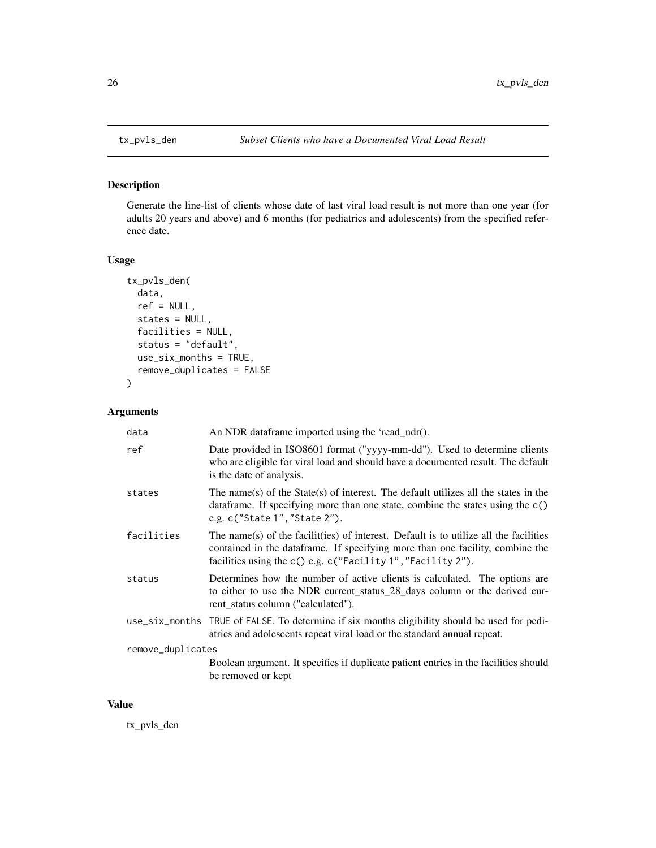Generate the line-list of clients whose date of last viral load result is not more than one year (for adults 20 years and above) and 6 months (for pediatrics and adolescents) from the specified reference date.

# Usage

```
tx_pvls_den(
  data,
  ref = NULL,
  states = NULL,
  facilities = NULL,
  status = "default",
  use_six_months = TRUE,
  remove_duplicates = FALSE
\overline{\phantom{a}}
```
# Arguments

| data              | An NDR dataframe imported using the 'read_ndr().                                                                                                                                                                                       |
|-------------------|----------------------------------------------------------------------------------------------------------------------------------------------------------------------------------------------------------------------------------------|
| ref               | Date provided in ISO8601 format ("yyyy-mm-dd"). Used to determine clients<br>who are eligible for viral load and should have a documented result. The default<br>is the date of analysis.                                              |
| states            | The name(s) of the State(s) of interest. The default utilizes all the states in the<br>data frame. If specifying more than one state, combine the states using the $c()$<br>e.g. c("State 1", "State 2").                              |
| facilities        | The name(s) of the facilit(ies) of interest. Default is to utilize all the facilities<br>contained in the dataframe. If specifying more than one facility, combine the<br>facilities using the c() e.g. c("Facility 1", "Facility 2"). |
| status            | Determines how the number of active clients is calculated. The options are<br>to either to use the NDR current_status_28_days column or the derived cur-<br>rent status column ("calculated").                                         |
|                   | use_six_months TRUE of FALSE. To determine if six months eligibility should be used for pedi-<br>atrics and adolescents repeat viral load or the standard annual repeat.                                                               |
| remove_duplicates |                                                                                                                                                                                                                                        |
|                   | Boolean argument. It specifies if duplicate patient entries in the facilities should<br>be removed or kept                                                                                                                             |

#### Value

tx\_pvls\_den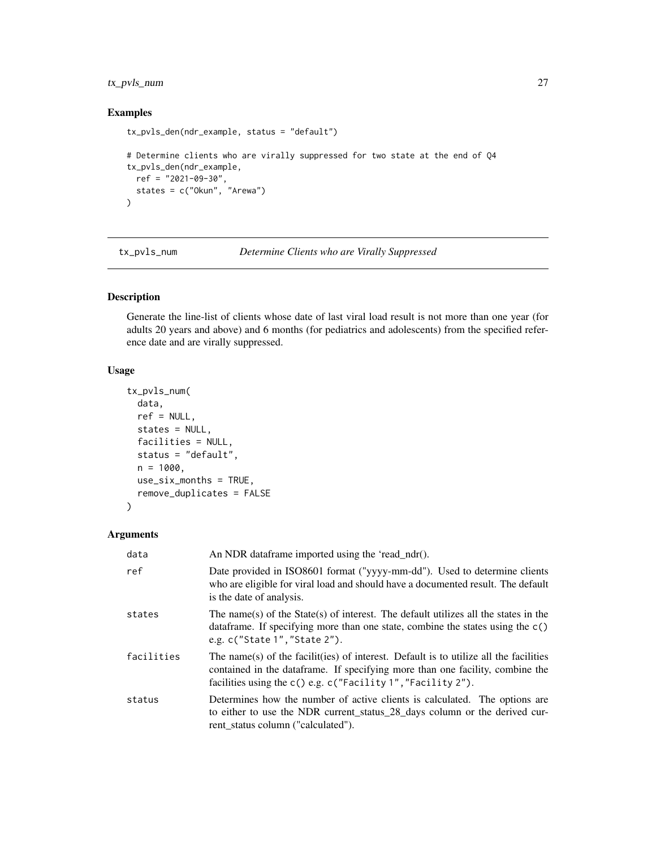# <span id="page-26-0"></span>tx\_pvls\_num 27

# Examples

```
tx_pvls_den(ndr_example, status = "default")
# Determine clients who are virally suppressed for two state at the end of Q4
tx_pvls_den(ndr_example,
  ref = "2021-09-30",
  states = c("Okun", "Arewa")
)
```
tx\_pvls\_num *Determine Clients who are Virally Suppressed*

# Description

Generate the line-list of clients whose date of last viral load result is not more than one year (for adults 20 years and above) and 6 months (for pediatrics and adolescents) from the specified reference date and are virally suppressed.

# Usage

```
tx_pvls_num(
  data,
  ref = NULL,states = NULL,
  facilities = NULL,
  status = "default",
 n = 1000,use\_six\_months = TRUE,remove_duplicates = FALSE
)
```
# Arguments

| data       | An NDR dataframe imported using the 'read_ndr().                                                                                                                                                                                            |
|------------|---------------------------------------------------------------------------------------------------------------------------------------------------------------------------------------------------------------------------------------------|
| ref        | Date provided in ISO8601 format ("yyyy-mm-dd"). Used to determine clients<br>who are eligible for viral load and should have a documented result. The default<br>is the date of analysis.                                                   |
| states     | The name(s) of the State(s) of interest. The default utilizes all the states in the<br>data frame. If specifying more than one state, combine the states using the $c()$<br>e.g. c("State 1", "State 2").                                   |
| facilities | The name(s) of the facilit(ies) of interest. Default is to utilize all the facilities<br>contained in the data frame. If specifying more than one facility, combine the<br>facilities using the $c()$ e.g. $c("Facility 1", "Facility 2").$ |
| status     | Determines how the number of active clients is calculated. The options are<br>to either to use the NDR current_status_28_days column or the derived cur-<br>rent status column ("calculated").                                              |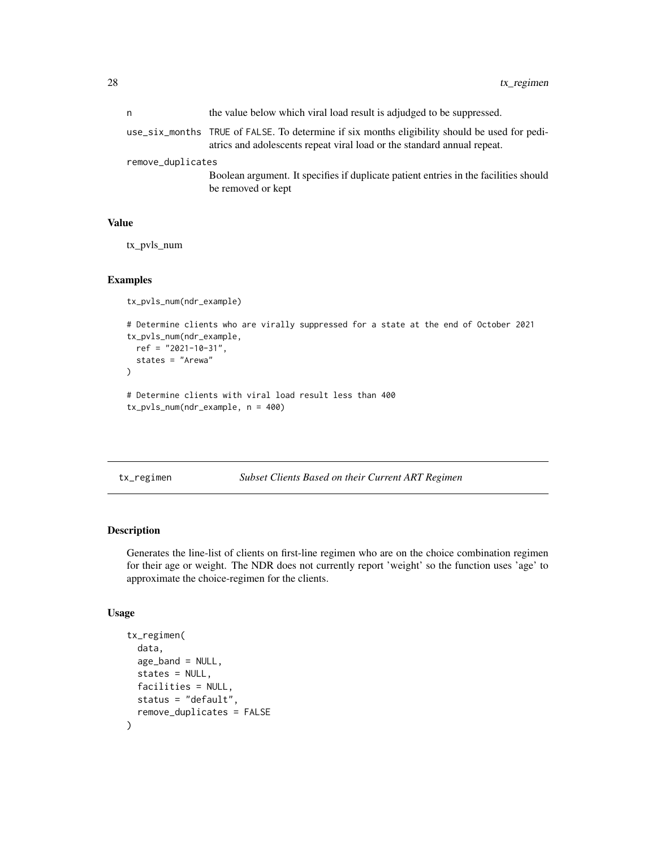<span id="page-27-0"></span>

| n                 | the value below which viral load result is adjudged to be suppressed.                                                                                                    |
|-------------------|--------------------------------------------------------------------------------------------------------------------------------------------------------------------------|
|                   | use_six_months TRUE of FALSE. To determine if six months eligibility should be used for pedi-<br>atrics and adolescents repeat viral load or the standard annual repeat. |
| remove_duplicates |                                                                                                                                                                          |
|                   | Boolean argument. It specifies if duplicate patient entries in the facilities should                                                                                     |
|                   | be removed or kept                                                                                                                                                       |

#### Value

tx\_pvls\_num

#### Examples

```
tx_pvls_num(ndr_example)
```

```
# Determine clients who are virally suppressed for a state at the end of October 2021
tx_pvls_num(ndr_example,
 ref = "2021-10-31",
 states = "Arewa"
\mathcal{L}# Determine clients with viral load result less than 400
tx_pvls_num(ndr_example, n = 400)
```

```
tx_regimen Subset Clients Based on their Current ART Regimen
```
# Description

Generates the line-list of clients on first-line regimen who are on the choice combination regimen for their age or weight. The NDR does not currently report 'weight' so the function uses 'age' to approximate the choice-regimen for the clients.

### Usage

```
tx_regimen(
  data,
  age\_band = NULL,
 states = NULL,
 facilities = NULL,
  status = "default",
  remove_duplicates = FALSE
)
```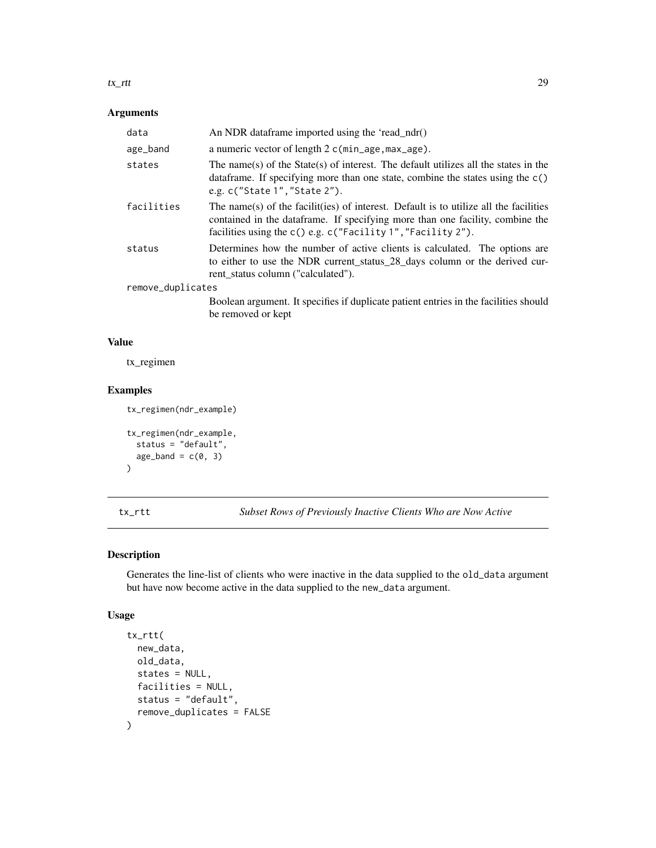#### <span id="page-28-0"></span>tx\_rtt 29

# Arguments

| data              | An NDR dataframe imported using the 'read_ndr()                                                                                                                                                                                            |
|-------------------|--------------------------------------------------------------------------------------------------------------------------------------------------------------------------------------------------------------------------------------------|
| age_band          | a numeric vector of length 2 c(min_age, max_age).                                                                                                                                                                                          |
| states            | The name(s) of the State(s) of interest. The default utilizes all the states in the<br>data frame. If specifying more than one state, combine the states using the c()<br>e.g. $c("State 1", "State 2").$                                  |
| facilities        | The name(s) of the facilit(ies) of interest. Default is to utilize all the facilities<br>contained in the dataframe. If specifying more than one facility, combine the<br>facilities using the $c()$ e.g. $c("Facility 1", "Facility 2").$ |
| status            | Determines how the number of active clients is calculated. The options are<br>to either to use the NDR current_status_28_days column or the derived cur-<br>rent status column ("calculated").                                             |
| remove_duplicates |                                                                                                                                                                                                                                            |
|                   | Boolean argument. It specifies if duplicate patient entries in the facilities should<br>be removed or kept                                                                                                                                 |

# Value

tx\_regimen

# Examples

```
tx_regimen(ndr_example)
tx_regimen(ndr_example,
  status = "default",
  age\_band = c(0, 3)\mathcal{L}
```
tx\_rtt *Subset Rows of Previously Inactive Clients Who are Now Active*

# Description

Generates the line-list of clients who were inactive in the data supplied to the old\_data argument but have now become active in the data supplied to the new\_data argument.

# Usage

```
tx_rtt(
  new_data,
 old_data,
  states = NULL,
  facilities = NULL,
  status = "default",
  remove_duplicates = FALSE
\mathcal{E}
```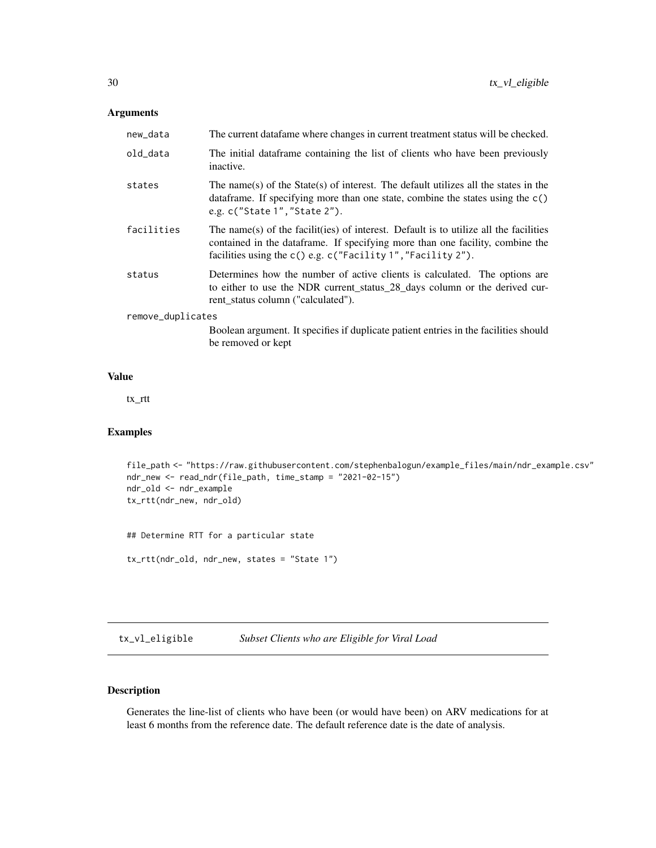# <span id="page-29-0"></span>Arguments

| new_data          | The current data fame where changes in current treatment status will be checked.                                                                                                                                                        |
|-------------------|-----------------------------------------------------------------------------------------------------------------------------------------------------------------------------------------------------------------------------------------|
| old_data          | The initial data frame containing the list of clients who have been previously<br>inactive.                                                                                                                                             |
| states            | The name(s) of the State(s) of interest. The default utilizes all the states in the<br>data frame. If specifying more than one state, combine the states using the $c()$<br>e.g. c("State 1", "State 2").                               |
| facilities        | The name(s) of the facilit(ies) of interest. Default is to utilize all the facilities<br>contained in the data frame. If specifying more than one facility, combine the<br>facilities using the c() e.g. c("Facility 1", "Facility 2"). |
| status            | Determines how the number of active clients is calculated. The options are<br>to either to use the NDR current_status_28_days column or the derived cur-<br>rent status column ("calculated").                                          |
| remove_duplicates |                                                                                                                                                                                                                                         |
|                   | Boolean argument. It specifies if duplicate patient entries in the facilities should<br>be removed or kept                                                                                                                              |

# Value

tx\_rtt

# Examples

```
file_path <- "https://raw.githubusercontent.com/stephenbalogun/example_files/main/ndr_example.csv"
ndr_new <- read_ndr(file_path, time_stamp = "2021-02-15")
ndr_old <- ndr_example
tx_rtt(ndr_new, ndr_old)
```
## Determine RTT for a particular state

tx\_rtt(ndr\_old, ndr\_new, states = "State 1")

tx\_vl\_eligible *Subset Clients who are Eligible for Viral Load*

# Description

Generates the line-list of clients who have been (or would have been) on ARV medications for at least 6 months from the reference date. The default reference date is the date of analysis.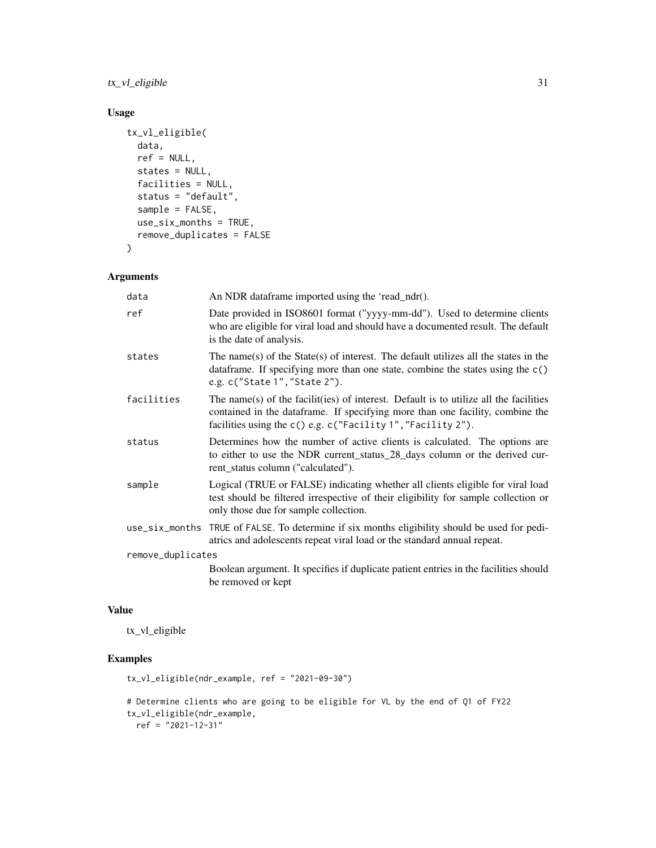$tx\_vl\_eligible$  31

# Usage

```
tx_vl_eligible(
  data,
  ref = NULL,
  states = NULL,
  facilities = NULL,
  status = "default",
  sample = FALSE,
  use_six_months = TRUE,
  remove_duplicates = FALSE
\mathcal{L}
```
# Arguments

| data              | An NDR dataframe imported using the 'read_ndr().                                                                                                                                                                                      |
|-------------------|---------------------------------------------------------------------------------------------------------------------------------------------------------------------------------------------------------------------------------------|
| ref               | Date provided in ISO8601 format ("yyyy-mm-dd"). Used to determine clients<br>who are eligible for viral load and should have a documented result. The default<br>is the date of analysis.                                             |
| states            | The name(s) of the State(s) of interest. The default utilizes all the states in the<br>data frame. If specifying more than one state, combine the states using the $c()$<br>e.g. c("State 1", "State 2").                             |
| facilities        | The name(s) of the facilit(ies) of interest. Default is to utilize all the facilities<br>contained in the dataframe. If specifying more than one facility, combine the<br>facilities using the c() e.g. c("Facility 1","Facility 2"). |
| status            | Determines how the number of active clients is calculated. The options are<br>to either to use the NDR current_status_28_days column or the derived cur-<br>rent status column ("calculated").                                        |
| sample            | Logical (TRUE or FALSE) indicating whether all clients eligible for viral load<br>test should be filtered irrespective of their eligibility for sample collection or<br>only those due for sample collection.                         |
|                   | use_six_months TRUE of FALSE. To determine if six months eligibility should be used for pedi-<br>atrics and adolescents repeat viral load or the standard annual repeat.                                                              |
| remove_duplicates |                                                                                                                                                                                                                                       |
|                   | Boolean argument. It specifies if duplicate patient entries in the facilities should<br>be removed or kept                                                                                                                            |

# Value

tx\_vl\_eligible

```
tx_vl_eligible(ndr_example, ref = "2021-09-30")
# Determine clients who are going to be eligible for VL by the end of Q1 of FY22
tx_vl_eligible(ndr_example,
 ref = "2021-12-31"
```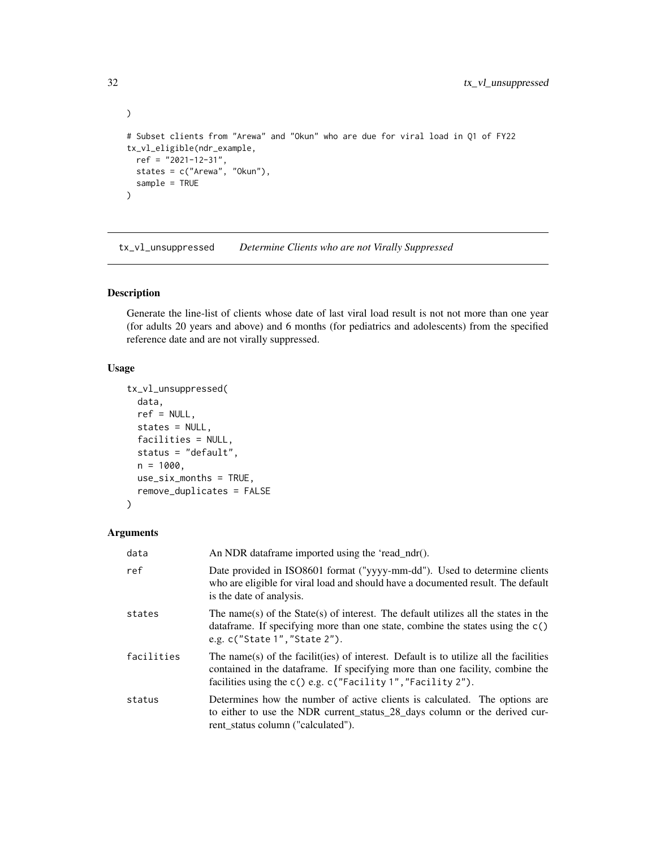```
\mathcal{L}# Subset clients from "Arewa" and "Okun" who are due for viral load in Q1 of FY22
tx_vl_eligible(ndr_example,
  ref = "2021-12-31",
  states = c("Arewa", "Okun"),
  sample = TRUE
\mathcal{L}
```
tx\_vl\_unsuppressed *Determine Clients who are not Virally Suppressed*

# Description

Generate the line-list of clients whose date of last viral load result is not not more than one year (for adults 20 years and above) and 6 months (for pediatrics and adolescents) from the specified reference date and are not virally suppressed.

# Usage

```
tx_vl_unsuppressed(
  data,
 ref = NULL,states = NULL,
 facilities = NULL,
 status = "default",
 n = 1000,use_six_months = TRUE,
  remove_duplicates = FALSE
)
```
# Arguments

| data       | An NDR dataframe imported using the 'read_ndr().                                                                                                                                                                                            |
|------------|---------------------------------------------------------------------------------------------------------------------------------------------------------------------------------------------------------------------------------------------|
| ref        | Date provided in ISO8601 format ("yyyy-mm-dd"). Used to determine clients<br>who are eligible for viral load and should have a documented result. The default<br>is the date of analysis.                                                   |
| states     | The name(s) of the State(s) of interest. The default utilizes all the states in the<br>data frame. If specifying more than one state, combine the states using the $c()$<br>e.g. c("State 1", "State 2").                                   |
| facilities | The name(s) of the facilit(ies) of interest. Default is to utilize all the facilities<br>contained in the data frame. If specifying more than one facility, combine the<br>facilities using the $c()$ e.g. $c("Facility 1", "Facility 2").$ |
| status     | Determines how the number of active clients is calculated. The options are<br>to either to use the NDR current_status_28_days column or the derived cur-<br>rent status column ("calculated").                                              |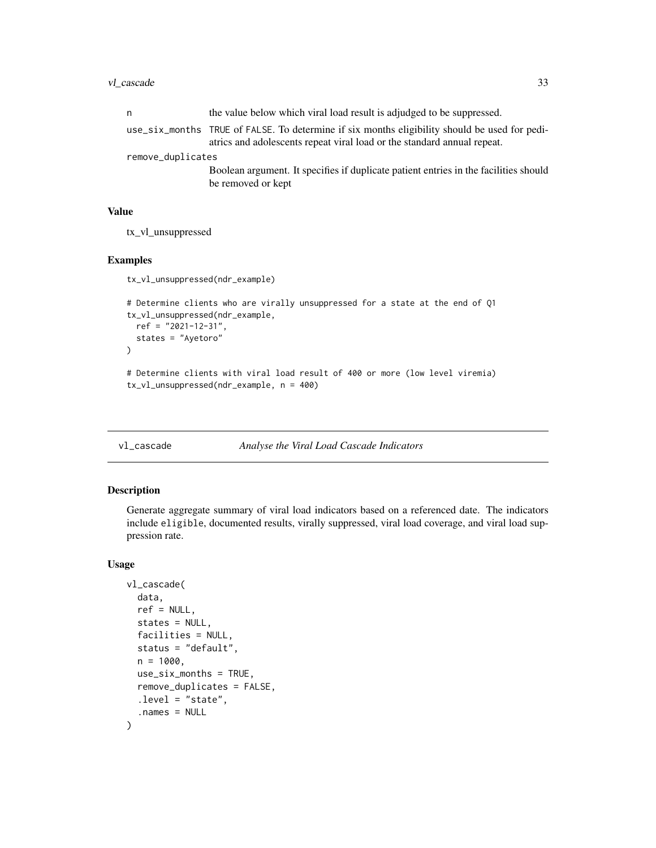#### <span id="page-32-0"></span>vl\_cascade 33

| n                 | the value below which viral load result is adjudged to be suppressed.                                                                                                    |
|-------------------|--------------------------------------------------------------------------------------------------------------------------------------------------------------------------|
|                   | use_six_months TRUE of FALSE. To determine if six months eligibility should be used for pedi-<br>atrics and adolescents repeat viral load or the standard annual repeat. |
| remove_duplicates |                                                                                                                                                                          |
|                   | Boolean argument. It specifies if duplicate patient entries in the facilities should                                                                                     |
|                   | be removed or kept                                                                                                                                                       |

# Value

tx\_vl\_unsuppressed

# Examples

```
tx_vl_unsuppressed(ndr_example)
# Determine clients who are virally unsuppressed for a state at the end of Q1
tx_vl_unsuppressed(ndr_example,
  ref = "2021-12-31",
  states = "Ayetoro"
\lambda# Determine clients with viral load result of 400 or more (low level viremia)
```

```
tx_vl_unsuppressed(ndr_example, n = 400)
```

```
vl_cascade Analyse the Viral Load Cascade Indicators
```
#### Description

Generate aggregate summary of viral load indicators based on a referenced date. The indicators include eligible, documented results, virally suppressed, viral load coverage, and viral load suppression rate.

# Usage

```
vl_cascade(
 data,
  ref = NULL,states = NULL,
  facilities = NULL,
  status = "default",
 n = 1000.
 use\_six\_months = TRUE,remove_duplicates = FALSE,
  .level = "state",
  .names = NULL
)
```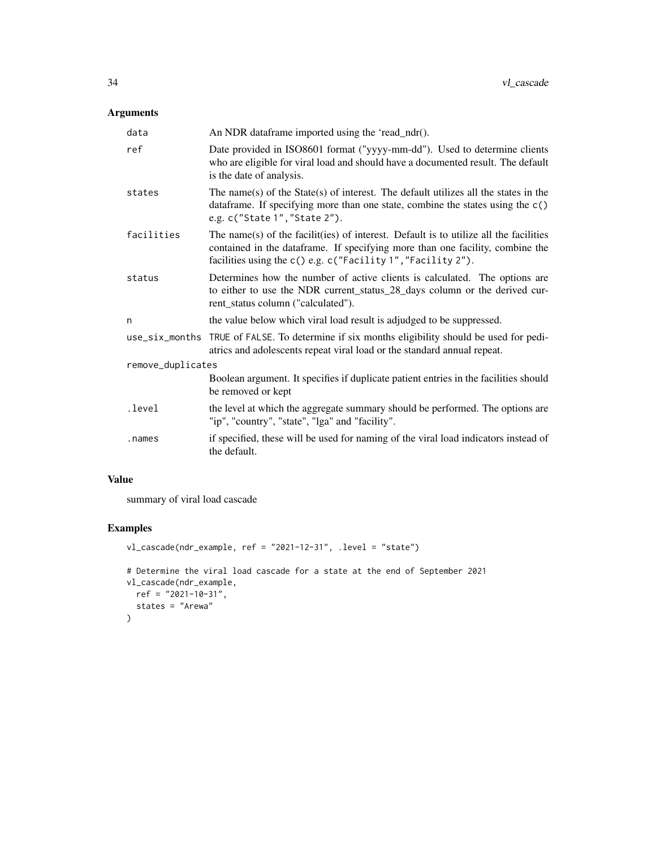# Arguments

| data              | An NDR dataframe imported using the 'read_ndr().                                                                                                                                                                                       |  |
|-------------------|----------------------------------------------------------------------------------------------------------------------------------------------------------------------------------------------------------------------------------------|--|
| ref               | Date provided in ISO8601 format ("yyyy-mm-dd"). Used to determine clients<br>who are eligible for viral load and should have a documented result. The default<br>is the date of analysis.                                              |  |
| states            | The name(s) of the State(s) of interest. The default utilizes all the states in the<br>data frame. If specifying more than one state, combine the states using the $c()$<br>e.g. c("State 1", "State 2").                              |  |
| facilities        | The name(s) of the facilit(ies) of interest. Default is to utilize all the facilities<br>contained in the dataframe. If specifying more than one facility, combine the<br>facilities using the c() e.g. c("Facility 1", "Facility 2"). |  |
| status            | Determines how the number of active clients is calculated. The options are<br>to either to use the NDR current_status_28_days column or the derived cur-<br>rent_status column ("calculated").                                         |  |
| n                 | the value below which viral load result is adjudged to be suppressed.                                                                                                                                                                  |  |
|                   | use_six_months TRUE of FALSE. To determine if six months eligibility should be used for pedi-<br>atrics and adolescents repeat viral load or the standard annual repeat.                                                               |  |
| remove_duplicates |                                                                                                                                                                                                                                        |  |
|                   | Boolean argument. It specifies if duplicate patient entries in the facilities should<br>be removed or kept                                                                                                                             |  |
| .level            | the level at which the aggregate summary should be performed. The options are<br>"ip", "country", "state", "lga" and "facility".                                                                                                       |  |
| .names            | if specified, these will be used for naming of the viral load indicators instead of<br>the default.                                                                                                                                    |  |

# Value

summary of viral load cascade

```
vl_cascade(ndr_example, ref = "2021-12-31", .level = "state")
# Determine the viral load cascade for a state at the end of September 2021
vl_cascade(ndr_example,
 ref = "2021-10-31",
  states = "Arewa"
)
```